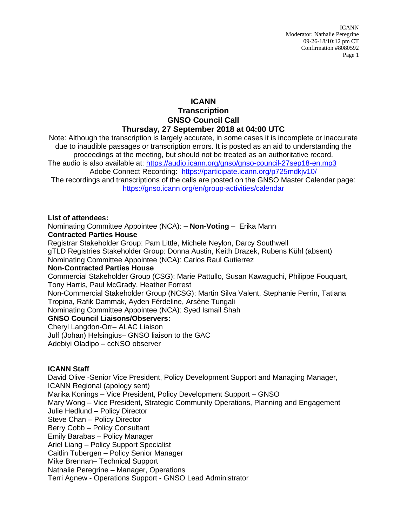## **ICANN Transcription GNSO Council Call Thursday, 27 September 2018 at 04:00 UTC**

Note: Although the transcription is largely accurate, in some cases it is incomplete or inaccurate due to inaudible passages or transcription errors. It is posted as an aid to understanding the proceedings at the meeting, but should not be treated as an authoritative record. The audio is also available at:<https://audio.icann.org/gnso/gnso-council-27sep18-en.mp3> Adobe Connect Recording: <https://participate.icann.org/p725mdkjv10/> The recordings and transcriptions of the calls are posted on the GNSO Master Calendar page: <https://gnso.icann.org/en/group-activities/calendar>

**List of attendees:**

Nominating Committee Appointee (NCA): **– Non-Voting** – Erika Mann **Contracted Parties House**

Registrar Stakeholder Group: Pam Little, Michele Neylon, Darcy Southwell

gTLD Registries Stakeholder Group: Donna Austin, Keith Drazek, Rubens Kühl (absent)

Nominating Committee Appointee (NCA): Carlos Raul Gutierrez

## **Non-Contracted Parties House**

Commercial Stakeholder Group (CSG): Marie Pattullo, Susan Kawaguchi, Philippe Fouquart, Tony Harris, Paul McGrady, Heather Forrest

Non-Commercial Stakeholder Group (NCSG): Martin Silva Valent, Stephanie Perrin, Tatiana Tropina, Rafik Dammak, Ayden Férdeline, Arsène Tungali

Nominating Committee Appointee (NCA): Syed Ismail Shah

## **GNSO Council Liaisons/Observers:**

Cheryl Langdon-Orr– ALAC Liaison

Julf (Johan) Helsingius– GNSO liaison to the GAC Adebiyi Oladipo – ccNSO observer

## **ICANN Staff**

David Olive -Senior Vice President, Policy Development Support and Managing Manager, ICANN Regional (apology sent) Marika Konings – Vice President, Policy Development Support – GNSO Mary Wong – Vice President, Strategic Community Operations, Planning and Engagement Julie Hedlund – Policy Director Steve Chan – Policy Director Berry Cobb – Policy Consultant Emily Barabas – Policy Manager Ariel Liang – Policy Support Specialist Caitlin Tubergen – Policy Senior Manager Mike Brennan– Technical Support Nathalie Peregrine – Manager, Operations Terri Agnew - Operations Support - GNSO Lead Administrator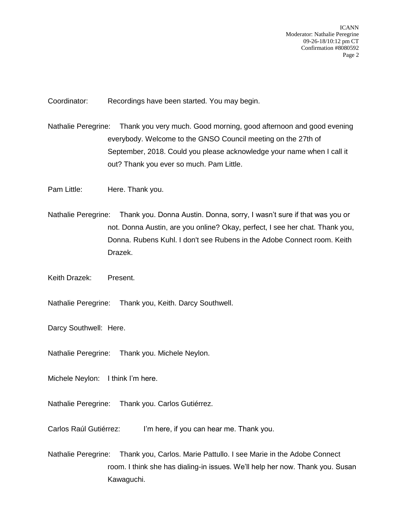Coordinator: Recordings have been started. You may begin.

- Nathalie Peregrine: Thank you very much. Good morning, good afternoon and good evening everybody. Welcome to the GNSO Council meeting on the 27th of September, 2018. Could you please acknowledge your name when I call it out? Thank you ever so much. Pam Little.
- Pam Little: Here. Thank you.
- Nathalie Peregrine: Thank you. Donna Austin. Donna, sorry, I wasn't sure if that was you or not. Donna Austin, are you online? Okay, perfect, I see her chat. Thank you, Donna. Rubens Kuhl. I don't see Rubens in the Adobe Connect room. Keith Drazek.
- Keith Drazek: Present.
- Nathalie Peregrine: Thank you, Keith. Darcy Southwell.
- Darcy Southwell: Here.
- Nathalie Peregrine: Thank you. Michele Neylon.
- Michele Neylon: I think I'm here.
- Nathalie Peregrine: Thank you. Carlos Gutiérrez.

Carlos Raúl Gutiérrez: I'm here, if you can hear me. Thank you.

Nathalie Peregrine: Thank you, Carlos. Marie Pattullo. I see Marie in the Adobe Connect room. I think she has dialing-in issues. We'll help her now. Thank you. Susan Kawaguchi.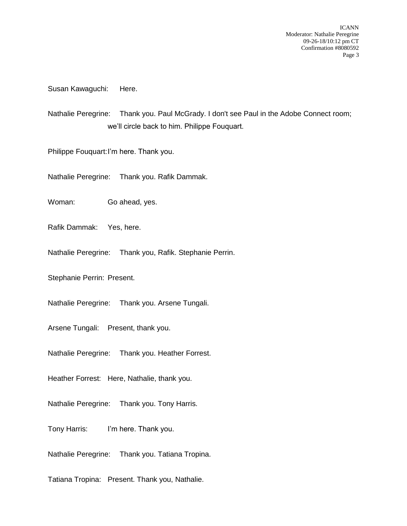Susan Kawaguchi: Here.

Nathalie Peregrine: Thank you. Paul McGrady. I don't see Paul in the Adobe Connect room; we'll circle back to him. Philippe Fouquart.

Philippe Fouquart:I'm here. Thank you.

Nathalie Peregrine: Thank you. Rafik Dammak.

Woman: Go ahead, yes.

Rafik Dammak: Yes, here.

Nathalie Peregrine: Thank you, Rafik. Stephanie Perrin.

Stephanie Perrin: Present.

Nathalie Peregrine: Thank you. Arsene Tungali.

Arsene Tungali: Present, thank you.

Nathalie Peregrine: Thank you. Heather Forrest.

Heather Forrest: Here, Nathalie, thank you.

Nathalie Peregrine: Thank you. Tony Harris.

Tony Harris: I'm here. Thank you.

Nathalie Peregrine: Thank you. Tatiana Tropina.

Tatiana Tropina: Present. Thank you, Nathalie.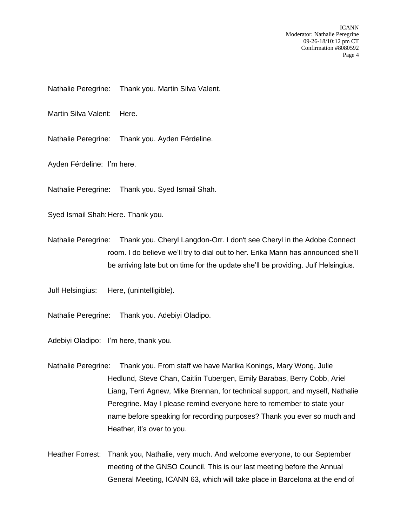Nathalie Peregrine: Thank you. Martin Silva Valent.

Martin Silva Valent: Here.

Nathalie Peregrine: Thank you. Ayden Férdeline.

Ayden Férdeline: I'm here.

Nathalie Peregrine: Thank you. Syed Ismail Shah.

Syed Ismail Shah: Here. Thank you.

Nathalie Peregrine: Thank you. Cheryl Langdon-Orr. I don't see Cheryl in the Adobe Connect room. I do believe we'll try to dial out to her. Erika Mann has announced she'll be arriving late but on time for the update she'll be providing. Julf Helsingius.

Julf Helsingius: Here, (unintelligible).

Nathalie Peregrine: Thank you. Adebiyi Oladipo.

Adebiyi Oladipo: I'm here, thank you.

Nathalie Peregrine: Thank you. From staff we have Marika Konings, Mary Wong, Julie Hedlund, Steve Chan, Caitlin Tubergen, Emily Barabas, Berry Cobb, Ariel Liang, Terri Agnew, Mike Brennan, for technical support, and myself, Nathalie Peregrine. May I please remind everyone here to remember to state your name before speaking for recording purposes? Thank you ever so much and Heather, it's over to you.

Heather Forrest: Thank you, Nathalie, very much. And welcome everyone, to our September meeting of the GNSO Council. This is our last meeting before the Annual General Meeting, ICANN 63, which will take place in Barcelona at the end of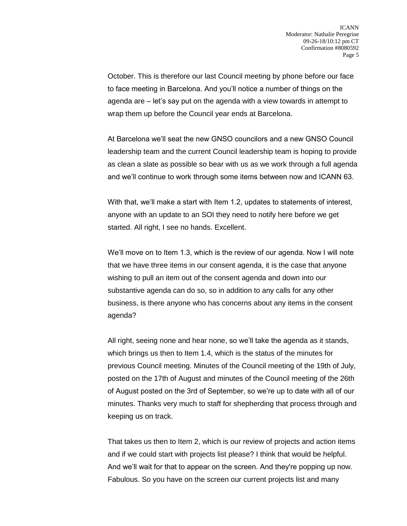October. This is therefore our last Council meeting by phone before our face to face meeting in Barcelona. And you'll notice a number of things on the agenda are – let's say put on the agenda with a view towards in attempt to wrap them up before the Council year ends at Barcelona.

At Barcelona we'll seat the new GNSO councilors and a new GNSO Council leadership team and the current Council leadership team is hoping to provide as clean a slate as possible so bear with us as we work through a full agenda and we'll continue to work through some items between now and ICANN 63.

With that, we'll make a start with Item 1.2, updates to statements of interest, anyone with an update to an SOI they need to notify here before we get started. All right, I see no hands. Excellent.

We'll move on to Item 1.3, which is the review of our agenda. Now I will note that we have three items in our consent agenda, it is the case that anyone wishing to pull an item out of the consent agenda and down into our substantive agenda can do so, so in addition to any calls for any other business, is there anyone who has concerns about any items in the consent agenda?

All right, seeing none and hear none, so we'll take the agenda as it stands, which brings us then to Item 1.4, which is the status of the minutes for previous Council meeting. Minutes of the Council meeting of the 19th of July, posted on the 17th of August and minutes of the Council meeting of the 26th of August posted on the 3rd of September, so we're up to date with all of our minutes. Thanks very much to staff for shepherding that process through and keeping us on track.

That takes us then to Item 2, which is our review of projects and action items and if we could start with projects list please? I think that would be helpful. And we'll wait for that to appear on the screen. And they're popping up now. Fabulous. So you have on the screen our current projects list and many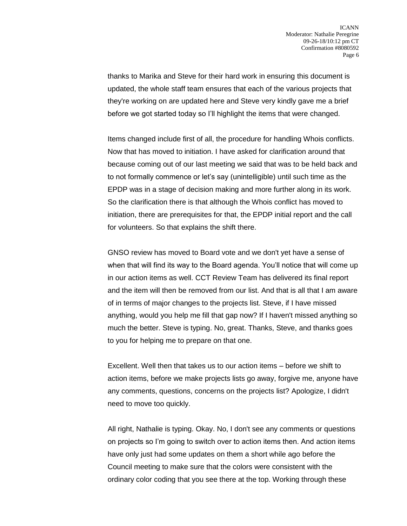thanks to Marika and Steve for their hard work in ensuring this document is updated, the whole staff team ensures that each of the various projects that they're working on are updated here and Steve very kindly gave me a brief before we got started today so I'll highlight the items that were changed.

Items changed include first of all, the procedure for handling Whois conflicts. Now that has moved to initiation. I have asked for clarification around that because coming out of our last meeting we said that was to be held back and to not formally commence or let's say (unintelligible) until such time as the EPDP was in a stage of decision making and more further along in its work. So the clarification there is that although the Whois conflict has moved to initiation, there are prerequisites for that, the EPDP initial report and the call for volunteers. So that explains the shift there.

GNSO review has moved to Board vote and we don't yet have a sense of when that will find its way to the Board agenda. You'll notice that will come up in our action items as well. CCT Review Team has delivered its final report and the item will then be removed from our list. And that is all that I am aware of in terms of major changes to the projects list. Steve, if I have missed anything, would you help me fill that gap now? If I haven't missed anything so much the better. Steve is typing. No, great. Thanks, Steve, and thanks goes to you for helping me to prepare on that one.

Excellent. Well then that takes us to our action items – before we shift to action items, before we make projects lists go away, forgive me, anyone have any comments, questions, concerns on the projects list? Apologize, I didn't need to move too quickly.

All right, Nathalie is typing. Okay. No, I don't see any comments or questions on projects so I'm going to switch over to action items then. And action items have only just had some updates on them a short while ago before the Council meeting to make sure that the colors were consistent with the ordinary color coding that you see there at the top. Working through these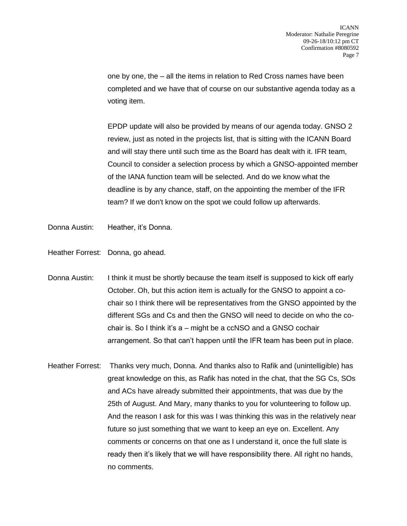one by one, the – all the items in relation to Red Cross names have been completed and we have that of course on our substantive agenda today as a voting item.

EPDP update will also be provided by means of our agenda today. GNSO 2 review, just as noted in the projects list, that is sitting with the ICANN Board and will stay there until such time as the Board has dealt with it. IFR team, Council to consider a selection process by which a GNSO-appointed member of the IANA function team will be selected. And do we know what the deadline is by any chance, staff, on the appointing the member of the IFR team? If we don't know on the spot we could follow up afterwards.

- Donna Austin: Heather, it's Donna.
- Heather Forrest: Donna, go ahead.
- Donna Austin: I think it must be shortly because the team itself is supposed to kick off early October. Oh, but this action item is actually for the GNSO to appoint a cochair so I think there will be representatives from the GNSO appointed by the different SGs and Cs and then the GNSO will need to decide on who the cochair is. So I think it's a – might be a ccNSO and a GNSO cochair arrangement. So that can't happen until the IFR team has been put in place.
- Heather Forrest: Thanks very much, Donna. And thanks also to Rafik and (unintelligible) has great knowledge on this, as Rafik has noted in the chat, that the SG Cs, SOs and ACs have already submitted their appointments, that was due by the 25th of August. And Mary, many thanks to you for volunteering to follow up. And the reason I ask for this was I was thinking this was in the relatively near future so just something that we want to keep an eye on. Excellent. Any comments or concerns on that one as I understand it, once the full slate is ready then it's likely that we will have responsibility there. All right no hands, no comments.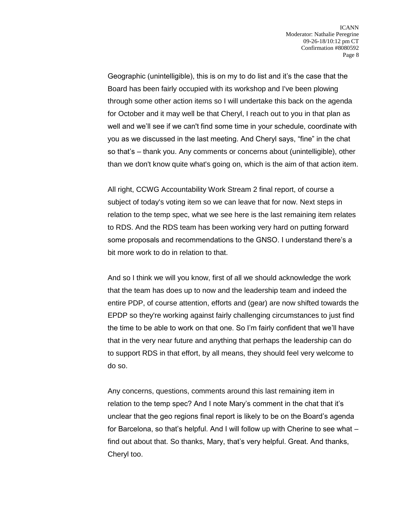Geographic (unintelligible), this is on my to do list and it's the case that the Board has been fairly occupied with its workshop and I've been plowing through some other action items so I will undertake this back on the agenda for October and it may well be that Cheryl, I reach out to you in that plan as well and we'll see if we can't find some time in your schedule, coordinate with you as we discussed in the last meeting. And Cheryl says, "fine" in the chat so that's – thank you. Any comments or concerns about (unintelligible), other than we don't know quite what's going on, which is the aim of that action item.

All right, CCWG Accountability Work Stream 2 final report, of course a subject of today's voting item so we can leave that for now. Next steps in relation to the temp spec, what we see here is the last remaining item relates to RDS. And the RDS team has been working very hard on putting forward some proposals and recommendations to the GNSO. I understand there's a bit more work to do in relation to that.

And so I think we will you know, first of all we should acknowledge the work that the team has does up to now and the leadership team and indeed the entire PDP, of course attention, efforts and (gear) are now shifted towards the EPDP so they're working against fairly challenging circumstances to just find the time to be able to work on that one. So I'm fairly confident that we'll have that in the very near future and anything that perhaps the leadership can do to support RDS in that effort, by all means, they should feel very welcome to do so.

Any concerns, questions, comments around this last remaining item in relation to the temp spec? And I note Mary's comment in the chat that it's unclear that the geo regions final report is likely to be on the Board's agenda for Barcelona, so that's helpful. And I will follow up with Cherine to see what – find out about that. So thanks, Mary, that's very helpful. Great. And thanks, Cheryl too.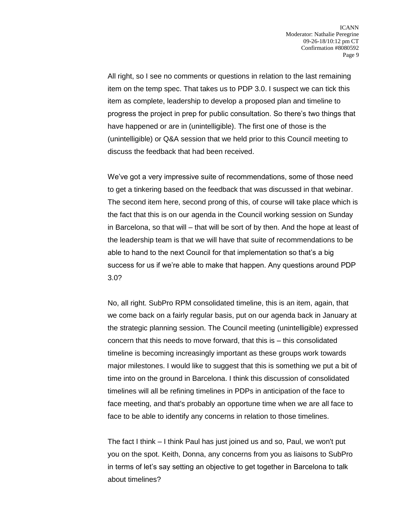All right, so I see no comments or questions in relation to the last remaining item on the temp spec. That takes us to PDP 3.0. I suspect we can tick this item as complete, leadership to develop a proposed plan and timeline to progress the project in prep for public consultation. So there's two things that have happened or are in (unintelligible). The first one of those is the (unintelligible) or Q&A session that we held prior to this Council meeting to discuss the feedback that had been received.

We've got a very impressive suite of recommendations, some of those need to get a tinkering based on the feedback that was discussed in that webinar. The second item here, second prong of this, of course will take place which is the fact that this is on our agenda in the Council working session on Sunday in Barcelona, so that will – that will be sort of by then. And the hope at least of the leadership team is that we will have that suite of recommendations to be able to hand to the next Council for that implementation so that's a big success for us if we're able to make that happen. Any questions around PDP 3.0?

No, all right. SubPro RPM consolidated timeline, this is an item, again, that we come back on a fairly regular basis, put on our agenda back in January at the strategic planning session. The Council meeting (unintelligible) expressed concern that this needs to move forward, that this is – this consolidated timeline is becoming increasingly important as these groups work towards major milestones. I would like to suggest that this is something we put a bit of time into on the ground in Barcelona. I think this discussion of consolidated timelines will all be refining timelines in PDPs in anticipation of the face to face meeting, and that's probably an opportune time when we are all face to face to be able to identify any concerns in relation to those timelines.

The fact I think – I think Paul has just joined us and so, Paul, we won't put you on the spot. Keith, Donna, any concerns from you as liaisons to SubPro in terms of let's say setting an objective to get together in Barcelona to talk about timelines?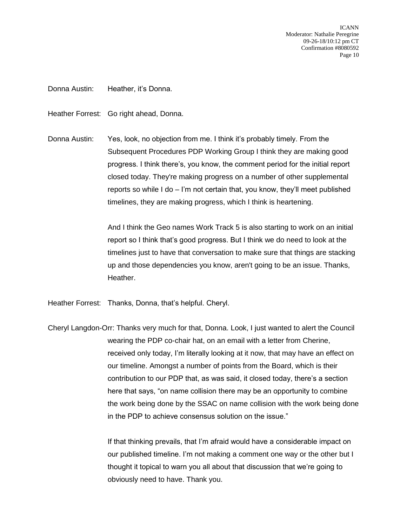Donna Austin: Heather, it's Donna.

Heather Forrest: Go right ahead, Donna.

Donna Austin: Yes, look, no objection from me. I think it's probably timely. From the Subsequent Procedures PDP Working Group I think they are making good progress. I think there's, you know, the comment period for the initial report closed today. They're making progress on a number of other supplemental reports so while I do – I'm not certain that, you know, they'll meet published timelines, they are making progress, which I think is heartening.

> And I think the Geo names Work Track 5 is also starting to work on an initial report so I think that's good progress. But I think we do need to look at the timelines just to have that conversation to make sure that things are stacking up and those dependencies you know, aren't going to be an issue. Thanks, Heather.

Heather Forrest: Thanks, Donna, that's helpful. Cheryl.

Cheryl Langdon-Orr: Thanks very much for that, Donna. Look, I just wanted to alert the Council wearing the PDP co-chair hat, on an email with a letter from Cherine, received only today, I'm literally looking at it now, that may have an effect on our timeline. Amongst a number of points from the Board, which is their contribution to our PDP that, as was said, it closed today, there's a section here that says, "on name collision there may be an opportunity to combine the work being done by the SSAC on name collision with the work being done in the PDP to achieve consensus solution on the issue."

> If that thinking prevails, that I'm afraid would have a considerable impact on our published timeline. I'm not making a comment one way or the other but I thought it topical to warn you all about that discussion that we're going to obviously need to have. Thank you.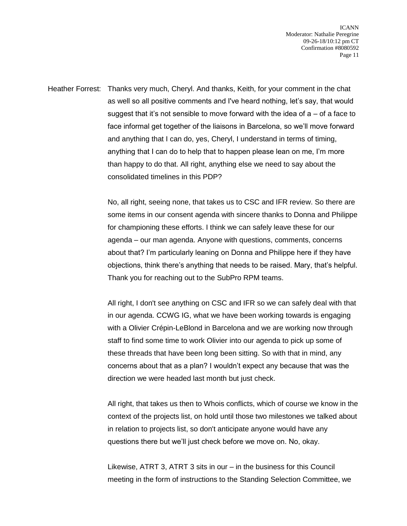Heather Forrest: Thanks very much, Cheryl. And thanks, Keith, for your comment in the chat as well so all positive comments and I've heard nothing, let's say, that would suggest that it's not sensible to move forward with the idea of  $a - o f$  a face to face informal get together of the liaisons in Barcelona, so we'll move forward and anything that I can do, yes, Cheryl, I understand in terms of timing, anything that I can do to help that to happen please lean on me, I'm more than happy to do that. All right, anything else we need to say about the consolidated timelines in this PDP?

> No, all right, seeing none, that takes us to CSC and IFR review. So there are some items in our consent agenda with sincere thanks to Donna and Philippe for championing these efforts. I think we can safely leave these for our agenda – our man agenda. Anyone with questions, comments, concerns about that? I'm particularly leaning on Donna and Philippe here if they have objections, think there's anything that needs to be raised. Mary, that's helpful. Thank you for reaching out to the SubPro RPM teams.

> All right, I don't see anything on CSC and IFR so we can safely deal with that in our agenda. CCWG IG, what we have been working towards is engaging with a Olivier Crépin-LeBlond in Barcelona and we are working now through staff to find some time to work Olivier into our agenda to pick up some of these threads that have been long been sitting. So with that in mind, any concerns about that as a plan? I wouldn't expect any because that was the direction we were headed last month but just check.

> All right, that takes us then to Whois conflicts, which of course we know in the context of the projects list, on hold until those two milestones we talked about in relation to projects list, so don't anticipate anyone would have any questions there but we'll just check before we move on. No, okay.

Likewise, ATRT 3, ATRT 3 sits in our – in the business for this Council meeting in the form of instructions to the Standing Selection Committee, we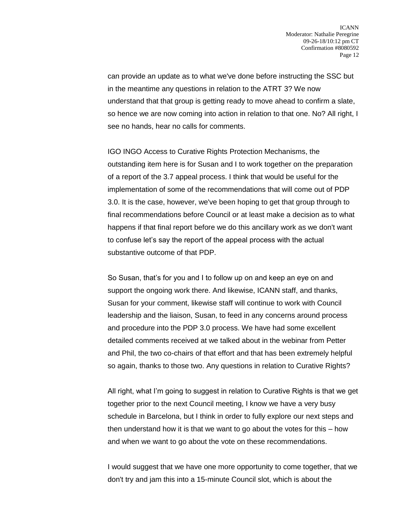can provide an update as to what we've done before instructing the SSC but in the meantime any questions in relation to the ATRT 3? We now understand that that group is getting ready to move ahead to confirm a slate, so hence we are now coming into action in relation to that one. No? All right, I see no hands, hear no calls for comments.

IGO INGO Access to Curative Rights Protection Mechanisms, the outstanding item here is for Susan and I to work together on the preparation of a report of the 3.7 appeal process. I think that would be useful for the implementation of some of the recommendations that will come out of PDP 3.0. It is the case, however, we've been hoping to get that group through to final recommendations before Council or at least make a decision as to what happens if that final report before we do this ancillary work as we don't want to confuse let's say the report of the appeal process with the actual substantive outcome of that PDP.

So Susan, that's for you and I to follow up on and keep an eye on and support the ongoing work there. And likewise, ICANN staff, and thanks, Susan for your comment, likewise staff will continue to work with Council leadership and the liaison, Susan, to feed in any concerns around process and procedure into the PDP 3.0 process. We have had some excellent detailed comments received at we talked about in the webinar from Petter and Phil, the two co-chairs of that effort and that has been extremely helpful so again, thanks to those two. Any questions in relation to Curative Rights?

All right, what I'm going to suggest in relation to Curative Rights is that we get together prior to the next Council meeting, I know we have a very busy schedule in Barcelona, but I think in order to fully explore our next steps and then understand how it is that we want to go about the votes for this – how and when we want to go about the vote on these recommendations.

I would suggest that we have one more opportunity to come together, that we don't try and jam this into a 15-minute Council slot, which is about the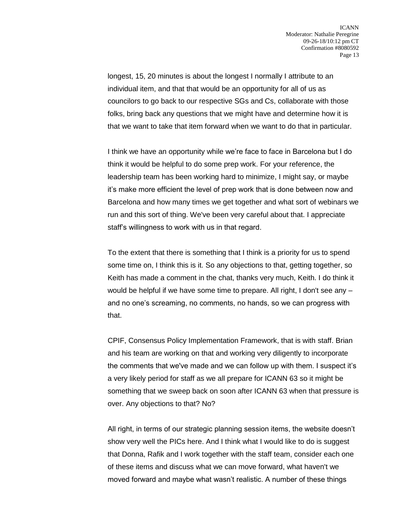longest, 15, 20 minutes is about the longest I normally I attribute to an individual item, and that that would be an opportunity for all of us as councilors to go back to our respective SGs and Cs, collaborate with those folks, bring back any questions that we might have and determine how it is that we want to take that item forward when we want to do that in particular.

I think we have an opportunity while we're face to face in Barcelona but I do think it would be helpful to do some prep work. For your reference, the leadership team has been working hard to minimize, I might say, or maybe it's make more efficient the level of prep work that is done between now and Barcelona and how many times we get together and what sort of webinars we run and this sort of thing. We've been very careful about that. I appreciate staff's willingness to work with us in that regard.

To the extent that there is something that I think is a priority for us to spend some time on, I think this is it. So any objections to that, getting together, so Keith has made a comment in the chat, thanks very much, Keith. I do think it would be helpful if we have some time to prepare. All right, I don't see any – and no one's screaming, no comments, no hands, so we can progress with that.

CPIF, Consensus Policy Implementation Framework, that is with staff. Brian and his team are working on that and working very diligently to incorporate the comments that we've made and we can follow up with them. I suspect it's a very likely period for staff as we all prepare for ICANN 63 so it might be something that we sweep back on soon after ICANN 63 when that pressure is over. Any objections to that? No?

All right, in terms of our strategic planning session items, the website doesn't show very well the PICs here. And I think what I would like to do is suggest that Donna, Rafik and I work together with the staff team, consider each one of these items and discuss what we can move forward, what haven't we moved forward and maybe what wasn't realistic. A number of these things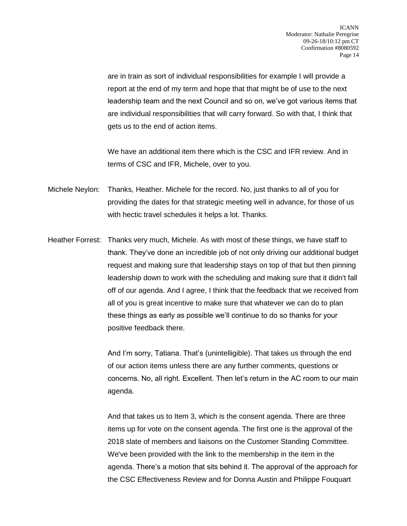are in train as sort of individual responsibilities for example I will provide a report at the end of my term and hope that that might be of use to the next leadership team and the next Council and so on, we've got various items that are individual responsibilities that will carry forward. So with that, I think that gets us to the end of action items.

We have an additional item there which is the CSC and IFR review. And in terms of CSC and IFR, Michele, over to you.

- Michele Neylon: Thanks, Heather. Michele for the record. No, just thanks to all of you for providing the dates for that strategic meeting well in advance, for those of us with hectic travel schedules it helps a lot. Thanks.
- Heather Forrest: Thanks very much, Michele. As with most of these things, we have staff to thank. They've done an incredible job of not only driving our additional budget request and making sure that leadership stays on top of that but then pinning leadership down to work with the scheduling and making sure that it didn't fall off of our agenda. And I agree, I think that the feedback that we received from all of you is great incentive to make sure that whatever we can do to plan these things as early as possible we'll continue to do so thanks for your positive feedback there.

And I'm sorry, Tatiana. That's (unintelligible). That takes us through the end of our action items unless there are any further comments, questions or concerns. No, all right. Excellent. Then let's return in the AC room to our main agenda.

And that takes us to Item 3, which is the consent agenda. There are three items up for vote on the consent agenda. The first one is the approval of the 2018 slate of members and liaisons on the Customer Standing Committee. We've been provided with the link to the membership in the item in the agenda. There's a motion that sits behind it. The approval of the approach for the CSC Effectiveness Review and for Donna Austin and Philippe Fouquart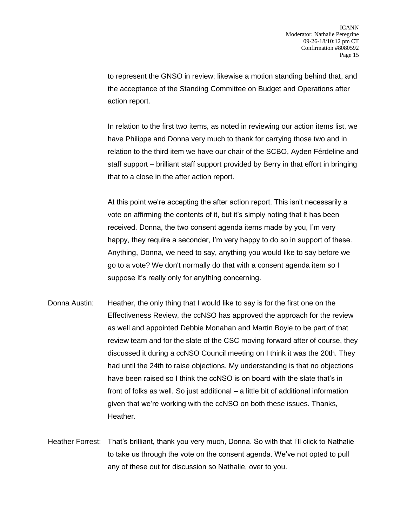to represent the GNSO in review; likewise a motion standing behind that, and the acceptance of the Standing Committee on Budget and Operations after action report.

In relation to the first two items, as noted in reviewing our action items list, we have Philippe and Donna very much to thank for carrying those two and in relation to the third item we have our chair of the SCBO, Ayden Férdeline and staff support – brilliant staff support provided by Berry in that effort in bringing that to a close in the after action report.

At this point we're accepting the after action report. This isn't necessarily a vote on affirming the contents of it, but it's simply noting that it has been received. Donna, the two consent agenda items made by you, I'm very happy, they require a seconder, I'm very happy to do so in support of these. Anything, Donna, we need to say, anything you would like to say before we go to a vote? We don't normally do that with a consent agenda item so I suppose it's really only for anything concerning.

Donna Austin: Heather, the only thing that I would like to say is for the first one on the Effectiveness Review, the ccNSO has approved the approach for the review as well and appointed Debbie Monahan and Martin Boyle to be part of that review team and for the slate of the CSC moving forward after of course, they discussed it during a ccNSO Council meeting on I think it was the 20th. They had until the 24th to raise objections. My understanding is that no objections have been raised so I think the ccNSO is on board with the slate that's in front of folks as well. So just additional – a little bit of additional information given that we're working with the ccNSO on both these issues. Thanks, Heather.

Heather Forrest: That's brilliant, thank you very much, Donna. So with that I'll click to Nathalie to take us through the vote on the consent agenda. We've not opted to pull any of these out for discussion so Nathalie, over to you.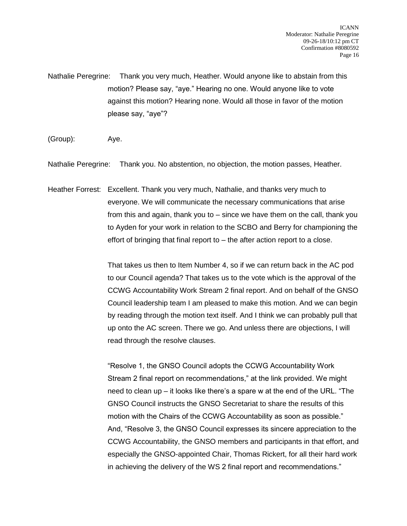Nathalie Peregrine: Thank you very much, Heather. Would anyone like to abstain from this motion? Please say, "aye." Hearing no one. Would anyone like to vote against this motion? Hearing none. Would all those in favor of the motion please say, "aye"?

(Group): Aye.

Nathalie Peregrine: Thank you. No abstention, no objection, the motion passes, Heather.

Heather Forrest: Excellent. Thank you very much, Nathalie, and thanks very much to everyone. We will communicate the necessary communications that arise from this and again, thank you to – since we have them on the call, thank you to Ayden for your work in relation to the SCBO and Berry for championing the effort of bringing that final report to – the after action report to a close.

> That takes us then to Item Number 4, so if we can return back in the AC pod to our Council agenda? That takes us to the vote which is the approval of the CCWG Accountability Work Stream 2 final report. And on behalf of the GNSO Council leadership team I am pleased to make this motion. And we can begin by reading through the motion text itself. And I think we can probably pull that up onto the AC screen. There we go. And unless there are objections, I will read through the resolve clauses.

> "Resolve 1, the GNSO Council adopts the CCWG Accountability Work Stream 2 final report on recommendations," at the link provided. We might need to clean up – it looks like there's a spare w at the end of the URL. "The GNSO Council instructs the GNSO Secretariat to share the results of this motion with the Chairs of the CCWG Accountability as soon as possible." And, "Resolve 3, the GNSO Council expresses its sincere appreciation to the CCWG Accountability, the GNSO members and participants in that effort, and especially the GNSO-appointed Chair, Thomas Rickert, for all their hard work in achieving the delivery of the WS 2 final report and recommendations."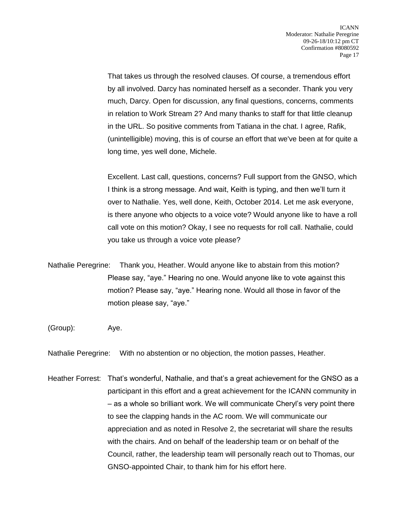That takes us through the resolved clauses. Of course, a tremendous effort by all involved. Darcy has nominated herself as a seconder. Thank you very much, Darcy. Open for discussion, any final questions, concerns, comments in relation to Work Stream 2? And many thanks to staff for that little cleanup in the URL. So positive comments from Tatiana in the chat. I agree, Rafik, (unintelligible) moving, this is of course an effort that we've been at for quite a long time, yes well done, Michele.

Excellent. Last call, questions, concerns? Full support from the GNSO, which I think is a strong message. And wait, Keith is typing, and then we'll turn it over to Nathalie. Yes, well done, Keith, October 2014. Let me ask everyone, is there anyone who objects to a voice vote? Would anyone like to have a roll call vote on this motion? Okay, I see no requests for roll call. Nathalie, could you take us through a voice vote please?

- Nathalie Peregrine: Thank you, Heather. Would anyone like to abstain from this motion? Please say, "aye." Hearing no one. Would anyone like to vote against this motion? Please say, "aye." Hearing none. Would all those in favor of the motion please say, "aye."
- (Group): Aye.

Nathalie Peregrine: With no abstention or no objection, the motion passes, Heather.

Heather Forrest: That's wonderful, Nathalie, and that's a great achievement for the GNSO as a participant in this effort and a great achievement for the ICANN community in – as a whole so brilliant work. We will communicate Cheryl's very point there to see the clapping hands in the AC room. We will communicate our appreciation and as noted in Resolve 2, the secretariat will share the results with the chairs. And on behalf of the leadership team or on behalf of the Council, rather, the leadership team will personally reach out to Thomas, our GNSO-appointed Chair, to thank him for his effort here.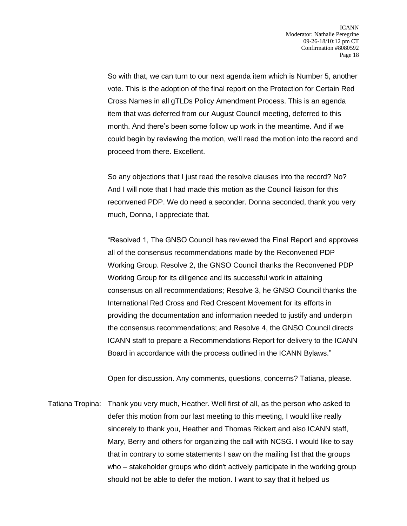So with that, we can turn to our next agenda item which is Number 5, another vote. This is the adoption of the final report on the Protection for Certain Red Cross Names in all gTLDs Policy Amendment Process. This is an agenda item that was deferred from our August Council meeting, deferred to this month. And there's been some follow up work in the meantime. And if we could begin by reviewing the motion, we'll read the motion into the record and proceed from there. Excellent.

So any objections that I just read the resolve clauses into the record? No? And I will note that I had made this motion as the Council liaison for this reconvened PDP. We do need a seconder. Donna seconded, thank you very much, Donna, I appreciate that.

"Resolved 1, The GNSO Council has reviewed the Final Report and approves all of the consensus recommendations made by the Reconvened PDP Working Group. Resolve 2, the GNSO Council thanks the Reconvened PDP Working Group for its diligence and its successful work in attaining consensus on all recommendations; Resolve 3, he GNSO Council thanks the International Red Cross and Red Crescent Movement for its efforts in providing the documentation and information needed to justify and underpin the consensus recommendations; and Resolve 4, the GNSO Council directs ICANN staff to prepare a Recommendations Report for delivery to the ICANN Board in accordance with the process outlined in the ICANN Bylaws."

Open for discussion. Any comments, questions, concerns? Tatiana, please.

Tatiana Tropina: Thank you very much, Heather. Well first of all, as the person who asked to defer this motion from our last meeting to this meeting, I would like really sincerely to thank you, Heather and Thomas Rickert and also ICANN staff, Mary, Berry and others for organizing the call with NCSG. I would like to say that in contrary to some statements I saw on the mailing list that the groups who – stakeholder groups who didn't actively participate in the working group should not be able to defer the motion. I want to say that it helped us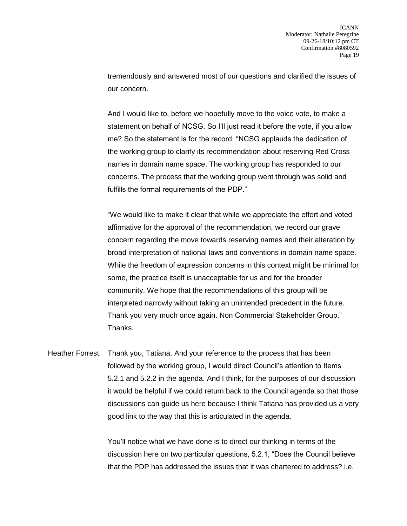tremendously and answered most of our questions and clarified the issues of our concern.

And I would like to, before we hopefully move to the voice vote, to make a statement on behalf of NCSG. So I'll just read it before the vote, if you allow me? So the statement is for the record. "NCSG applauds the dedication of the working group to clarify its recommendation about reserving Red Cross names in domain name space. The working group has responded to our concerns. The process that the working group went through was solid and fulfills the formal requirements of the PDP."

"We would like to make it clear that while we appreciate the effort and voted affirmative for the approval of the recommendation, we record our grave concern regarding the move towards reserving names and their alteration by broad interpretation of national laws and conventions in domain name space. While the freedom of expression concerns in this context might be minimal for some, the practice itself is unacceptable for us and for the broader community. We hope that the recommendations of this group will be interpreted narrowly without taking an unintended precedent in the future. Thank you very much once again. Non Commercial Stakeholder Group." Thanks.

Heather Forrest: Thank you, Tatiana. And your reference to the process that has been followed by the working group, I would direct Council's attention to Items 5.2.1 and 5.2.2 in the agenda. And I think, for the purposes of our discussion it would be helpful if we could return back to the Council agenda so that those discussions can guide us here because I think Tatiana has provided us a very good link to the way that this is articulated in the agenda.

> You'll notice what we have done is to direct our thinking in terms of the discussion here on two particular questions, 5.2.1, "Does the Council believe that the PDP has addressed the issues that it was chartered to address? i.e.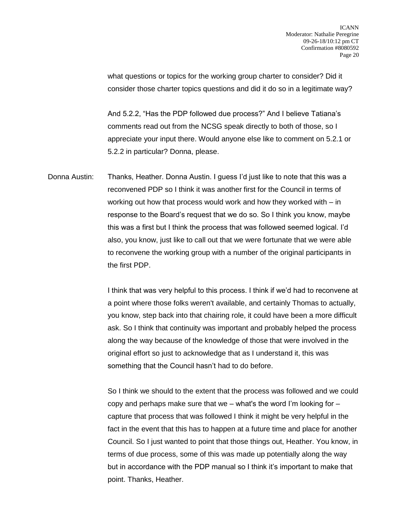what questions or topics for the working group charter to consider? Did it consider those charter topics questions and did it do so in a legitimate way?

And 5.2.2, "Has the PDP followed due process?" And I believe Tatiana's comments read out from the NCSG speak directly to both of those, so I appreciate your input there. Would anyone else like to comment on 5.2.1 or 5.2.2 in particular? Donna, please.

Donna Austin: Thanks, Heather. Donna Austin. I guess I'd just like to note that this was a reconvened PDP so I think it was another first for the Council in terms of working out how that process would work and how they worked with – in response to the Board's request that we do so. So I think you know, maybe this was a first but I think the process that was followed seemed logical. I'd also, you know, just like to call out that we were fortunate that we were able to reconvene the working group with a number of the original participants in the first PDP.

> I think that was very helpful to this process. I think if we'd had to reconvene at a point where those folks weren't available, and certainly Thomas to actually, you know, step back into that chairing role, it could have been a more difficult ask. So I think that continuity was important and probably helped the process along the way because of the knowledge of those that were involved in the original effort so just to acknowledge that as I understand it, this was something that the Council hasn't had to do before.

> So I think we should to the extent that the process was followed and we could copy and perhaps make sure that we – what's the word I'm looking for  $$ capture that process that was followed I think it might be very helpful in the fact in the event that this has to happen at a future time and place for another Council. So I just wanted to point that those things out, Heather. You know, in terms of due process, some of this was made up potentially along the way but in accordance with the PDP manual so I think it's important to make that point. Thanks, Heather.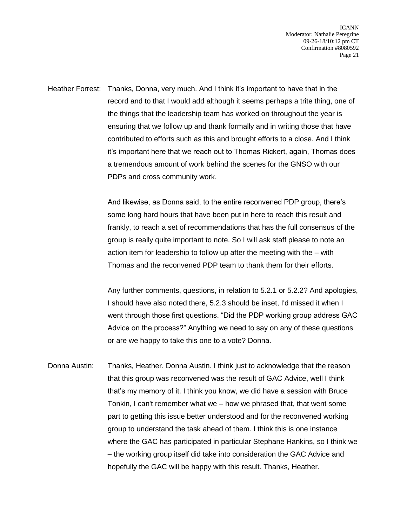Heather Forrest: Thanks, Donna, very much. And I think it's important to have that in the record and to that I would add although it seems perhaps a trite thing, one of the things that the leadership team has worked on throughout the year is ensuring that we follow up and thank formally and in writing those that have contributed to efforts such as this and brought efforts to a close. And I think it's important here that we reach out to Thomas Rickert, again, Thomas does a tremendous amount of work behind the scenes for the GNSO with our PDPs and cross community work.

> And likewise, as Donna said, to the entire reconvened PDP group, there's some long hard hours that have been put in here to reach this result and frankly, to reach a set of recommendations that has the full consensus of the group is really quite important to note. So I will ask staff please to note an action item for leadership to follow up after the meeting with the – with Thomas and the reconvened PDP team to thank them for their efforts.

Any further comments, questions, in relation to 5.2.1 or 5.2.2? And apologies, I should have also noted there, 5.2.3 should be inset, I'd missed it when I went through those first questions. "Did the PDP working group address GAC Advice on the process?" Anything we need to say on any of these questions or are we happy to take this one to a vote? Donna.

Donna Austin: Thanks, Heather. Donna Austin. I think just to acknowledge that the reason that this group was reconvened was the result of GAC Advice, well I think that's my memory of it. I think you know, we did have a session with Bruce Tonkin, I can't remember what we – how we phrased that, that went some part to getting this issue better understood and for the reconvened working group to understand the task ahead of them. I think this is one instance where the GAC has participated in particular Stephane Hankins, so I think we – the working group itself did take into consideration the GAC Advice and hopefully the GAC will be happy with this result. Thanks, Heather.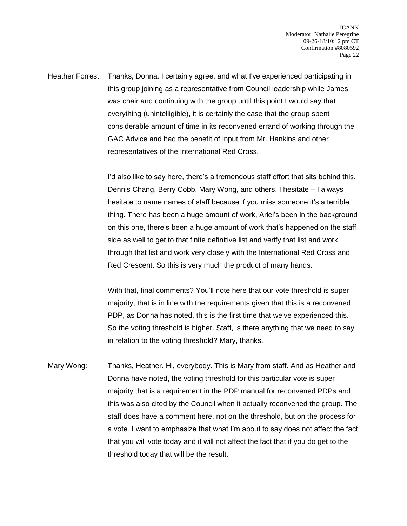Heather Forrest: Thanks, Donna. I certainly agree, and what I've experienced participating in this group joining as a representative from Council leadership while James was chair and continuing with the group until this point I would say that everything (unintelligible), it is certainly the case that the group spent considerable amount of time in its reconvened errand of working through the GAC Advice and had the benefit of input from Mr. Hankins and other representatives of the International Red Cross.

> I'd also like to say here, there's a tremendous staff effort that sits behind this, Dennis Chang, Berry Cobb, Mary Wong, and others. I hesitate – I always hesitate to name names of staff because if you miss someone it's a terrible thing. There has been a huge amount of work, Ariel's been in the background on this one, there's been a huge amount of work that's happened on the staff side as well to get to that finite definitive list and verify that list and work through that list and work very closely with the International Red Cross and Red Crescent. So this is very much the product of many hands.

With that, final comments? You'll note here that our vote threshold is super majority, that is in line with the requirements given that this is a reconvened PDP, as Donna has noted, this is the first time that we've experienced this. So the voting threshold is higher. Staff, is there anything that we need to say in relation to the voting threshold? Mary, thanks.

Mary Wong: Thanks, Heather. Hi, everybody. This is Mary from staff. And as Heather and Donna have noted, the voting threshold for this particular vote is super majority that is a requirement in the PDP manual for reconvened PDPs and this was also cited by the Council when it actually reconvened the group. The staff does have a comment here, not on the threshold, but on the process for a vote. I want to emphasize that what I'm about to say does not affect the fact that you will vote today and it will not affect the fact that if you do get to the threshold today that will be the result.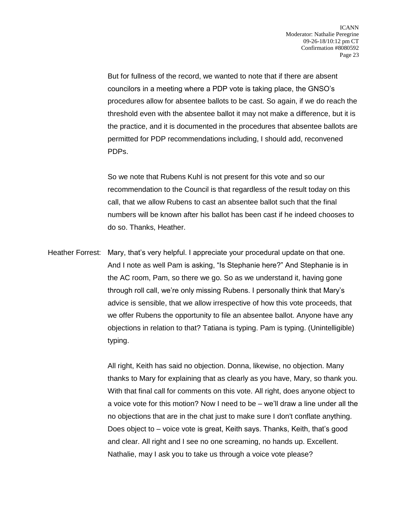But for fullness of the record, we wanted to note that if there are absent councilors in a meeting where a PDP vote is taking place, the GNSO's procedures allow for absentee ballots to be cast. So again, if we do reach the threshold even with the absentee ballot it may not make a difference, but it is the practice, and it is documented in the procedures that absentee ballots are permitted for PDP recommendations including, I should add, reconvened PDPs.

So we note that Rubens Kuhl is not present for this vote and so our recommendation to the Council is that regardless of the result today on this call, that we allow Rubens to cast an absentee ballot such that the final numbers will be known after his ballot has been cast if he indeed chooses to do so. Thanks, Heather.

Heather Forrest: Mary, that's very helpful. I appreciate your procedural update on that one. And I note as well Pam is asking, "Is Stephanie here?" And Stephanie is in the AC room, Pam, so there we go. So as we understand it, having gone through roll call, we're only missing Rubens. I personally think that Mary's advice is sensible, that we allow irrespective of how this vote proceeds, that we offer Rubens the opportunity to file an absentee ballot. Anyone have any objections in relation to that? Tatiana is typing. Pam is typing. (Unintelligible) typing.

> All right, Keith has said no objection. Donna, likewise, no objection. Many thanks to Mary for explaining that as clearly as you have, Mary, so thank you. With that final call for comments on this vote. All right, does anyone object to a voice vote for this motion? Now I need to be – we'll draw a line under all the no objections that are in the chat just to make sure I don't conflate anything. Does object to – voice vote is great, Keith says. Thanks, Keith, that's good and clear. All right and I see no one screaming, no hands up. Excellent. Nathalie, may I ask you to take us through a voice vote please?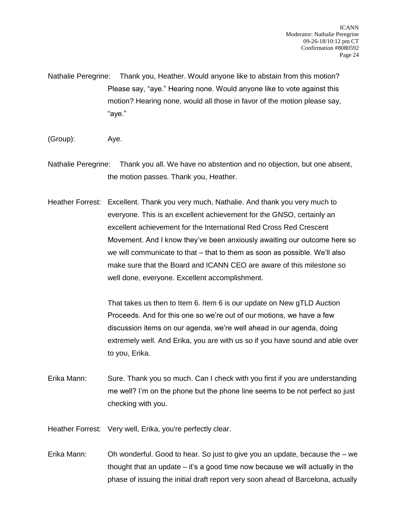Nathalie Peregrine: Thank you, Heather. Would anyone like to abstain from this motion? Please say, "aye." Hearing none. Would anyone like to vote against this motion? Hearing none, would all those in favor of the motion please say, "aye."

- (Group): Aye.
- Nathalie Peregrine: Thank you all. We have no abstention and no objection, but one absent, the motion passes. Thank you, Heather.
- Heather Forrest: Excellent. Thank you very much, Nathalie. And thank you very much to everyone. This is an excellent achievement for the GNSO, certainly an excellent achievement for the International Red Cross Red Crescent Movement. And I know they've been anxiously awaiting our outcome here so we will communicate to that – that to them as soon as possible. We'll also make sure that the Board and ICANN CEO are aware of this milestone so well done, everyone. Excellent accomplishment.

That takes us then to Item 6. Item 6 is our update on New gTLD Auction Proceeds. And for this one so we're out of our motions, we have a few discussion items on our agenda, we're well ahead in our agenda, doing extremely well. And Erika, you are with us so if you have sound and able over to you, Erika.

- Erika Mann: Sure. Thank you so much. Can I check with you first if you are understanding me well? I'm on the phone but the phone line seems to be not perfect so just checking with you.
- Heather Forrest: Very well, Erika, you're perfectly clear.
- Erika Mann: Oh wonderful. Good to hear. So just to give you an update, because the we thought that an update – it's a good time now because we will actually in the phase of issuing the initial draft report very soon ahead of Barcelona, actually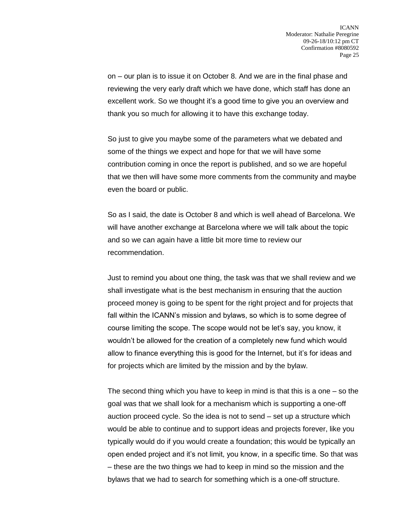on – our plan is to issue it on October 8. And we are in the final phase and reviewing the very early draft which we have done, which staff has done an excellent work. So we thought it's a good time to give you an overview and thank you so much for allowing it to have this exchange today.

So just to give you maybe some of the parameters what we debated and some of the things we expect and hope for that we will have some contribution coming in once the report is published, and so we are hopeful that we then will have some more comments from the community and maybe even the board or public.

So as I said, the date is October 8 and which is well ahead of Barcelona. We will have another exchange at Barcelona where we will talk about the topic and so we can again have a little bit more time to review our recommendation.

Just to remind you about one thing, the task was that we shall review and we shall investigate what is the best mechanism in ensuring that the auction proceed money is going to be spent for the right project and for projects that fall within the ICANN's mission and bylaws, so which is to some degree of course limiting the scope. The scope would not be let's say, you know, it wouldn't be allowed for the creation of a completely new fund which would allow to finance everything this is good for the Internet, but it's for ideas and for projects which are limited by the mission and by the bylaw.

The second thing which you have to keep in mind is that this is a one – so the goal was that we shall look for a mechanism which is supporting a one-off auction proceed cycle. So the idea is not to send – set up a structure which would be able to continue and to support ideas and projects forever, like you typically would do if you would create a foundation; this would be typically an open ended project and it's not limit, you know, in a specific time. So that was – these are the two things we had to keep in mind so the mission and the bylaws that we had to search for something which is a one-off structure.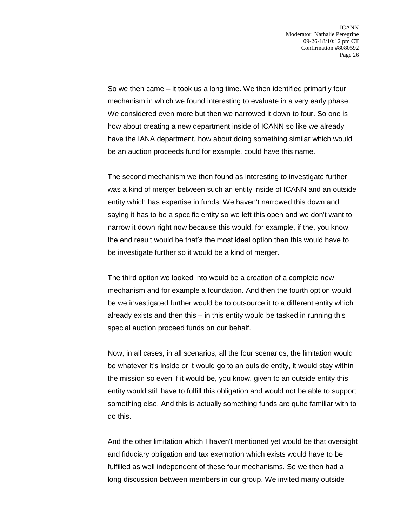So we then came – it took us a long time. We then identified primarily four mechanism in which we found interesting to evaluate in a very early phase. We considered even more but then we narrowed it down to four. So one is how about creating a new department inside of ICANN so like we already have the IANA department, how about doing something similar which would be an auction proceeds fund for example, could have this name.

The second mechanism we then found as interesting to investigate further was a kind of merger between such an entity inside of ICANN and an outside entity which has expertise in funds. We haven't narrowed this down and saying it has to be a specific entity so we left this open and we don't want to narrow it down right now because this would, for example, if the, you know, the end result would be that's the most ideal option then this would have to be investigate further so it would be a kind of merger.

The third option we looked into would be a creation of a complete new mechanism and for example a foundation. And then the fourth option would be we investigated further would be to outsource it to a different entity which already exists and then this – in this entity would be tasked in running this special auction proceed funds on our behalf.

Now, in all cases, in all scenarios, all the four scenarios, the limitation would be whatever it's inside or it would go to an outside entity, it would stay within the mission so even if it would be, you know, given to an outside entity this entity would still have to fulfill this obligation and would not be able to support something else. And this is actually something funds are quite familiar with to do this.

And the other limitation which I haven't mentioned yet would be that oversight and fiduciary obligation and tax exemption which exists would have to be fulfilled as well independent of these four mechanisms. So we then had a long discussion between members in our group. We invited many outside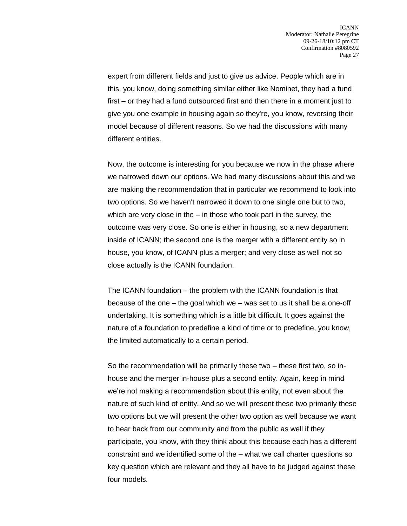expert from different fields and just to give us advice. People which are in this, you know, doing something similar either like Nominet, they had a fund first – or they had a fund outsourced first and then there in a moment just to give you one example in housing again so they're, you know, reversing their model because of different reasons. So we had the discussions with many different entities.

Now, the outcome is interesting for you because we now in the phase where we narrowed down our options. We had many discussions about this and we are making the recommendation that in particular we recommend to look into two options. So we haven't narrowed it down to one single one but to two, which are very close in the – in those who took part in the survey, the outcome was very close. So one is either in housing, so a new department inside of ICANN; the second one is the merger with a different entity so in house, you know, of ICANN plus a merger; and very close as well not so close actually is the ICANN foundation.

The ICANN foundation – the problem with the ICANN foundation is that because of the one – the goal which we – was set to us it shall be a one-off undertaking. It is something which is a little bit difficult. It goes against the nature of a foundation to predefine a kind of time or to predefine, you know, the limited automatically to a certain period.

So the recommendation will be primarily these two – these first two, so inhouse and the merger in-house plus a second entity. Again, keep in mind we're not making a recommendation about this entity, not even about the nature of such kind of entity. And so we will present these two primarily these two options but we will present the other two option as well because we want to hear back from our community and from the public as well if they participate, you know, with they think about this because each has a different constraint and we identified some of the – what we call charter questions so key question which are relevant and they all have to be judged against these four models.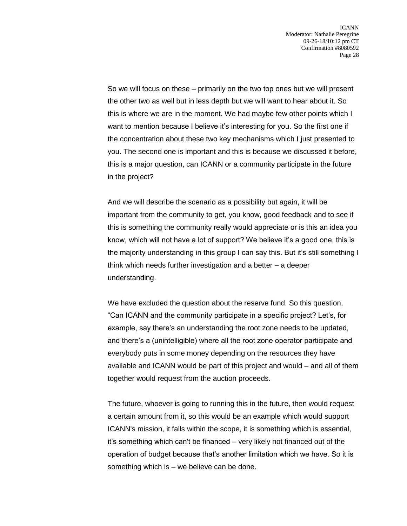So we will focus on these – primarily on the two top ones but we will present the other two as well but in less depth but we will want to hear about it. So this is where we are in the moment. We had maybe few other points which I want to mention because I believe it's interesting for you. So the first one if the concentration about these two key mechanisms which I just presented to you. The second one is important and this is because we discussed it before, this is a major question, can ICANN or a community participate in the future in the project?

And we will describe the scenario as a possibility but again, it will be important from the community to get, you know, good feedback and to see if this is something the community really would appreciate or is this an idea you know, which will not have a lot of support? We believe it's a good one, this is the majority understanding in this group I can say this. But it's still something I think which needs further investigation and a better – a deeper understanding.

We have excluded the question about the reserve fund. So this question, "Can ICANN and the community participate in a specific project? Let's, for example, say there's an understanding the root zone needs to be updated, and there's a (unintelligible) where all the root zone operator participate and everybody puts in some money depending on the resources they have available and ICANN would be part of this project and would – and all of them together would request from the auction proceeds.

The future, whoever is going to running this in the future, then would request a certain amount from it, so this would be an example which would support ICANN's mission, it falls within the scope, it is something which is essential, it's something which can't be financed – very likely not financed out of the operation of budget because that's another limitation which we have. So it is something which is – we believe can be done.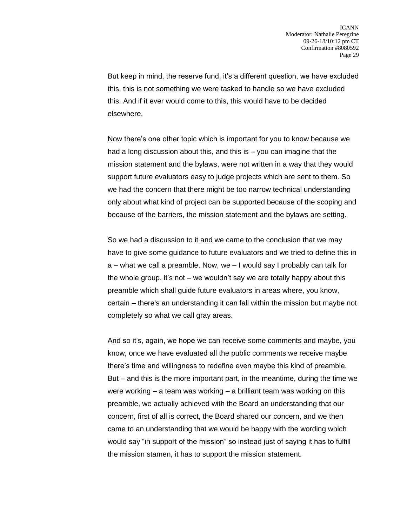But keep in mind, the reserve fund, it's a different question, we have excluded this, this is not something we were tasked to handle so we have excluded this. And if it ever would come to this, this would have to be decided elsewhere.

Now there's one other topic which is important for you to know because we had a long discussion about this, and this is – you can imagine that the mission statement and the bylaws, were not written in a way that they would support future evaluators easy to judge projects which are sent to them. So we had the concern that there might be too narrow technical understanding only about what kind of project can be supported because of the scoping and because of the barriers, the mission statement and the bylaws are setting.

So we had a discussion to it and we came to the conclusion that we may have to give some guidance to future evaluators and we tried to define this in a – what we call a preamble. Now, we – I would say I probably can talk for the whole group, it's not – we wouldn't say we are totally happy about this preamble which shall guide future evaluators in areas where, you know, certain – there's an understanding it can fall within the mission but maybe not completely so what we call gray areas.

And so it's, again, we hope we can receive some comments and maybe, you know, once we have evaluated all the public comments we receive maybe there's time and willingness to redefine even maybe this kind of preamble. But – and this is the more important part, in the meantime, during the time we were working – a team was working – a brilliant team was working on this preamble, we actually achieved with the Board an understanding that our concern, first of all is correct, the Board shared our concern, and we then came to an understanding that we would be happy with the wording which would say "in support of the mission" so instead just of saying it has to fulfill the mission stamen, it has to support the mission statement.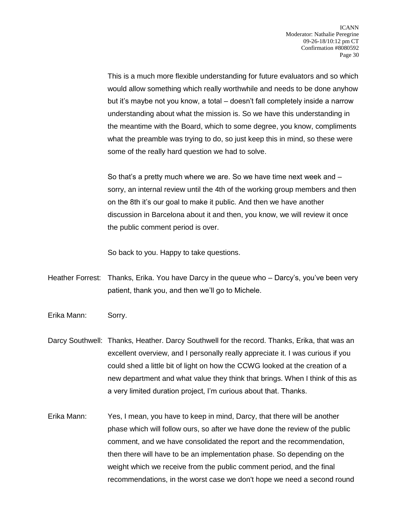This is a much more flexible understanding for future evaluators and so which would allow something which really worthwhile and needs to be done anyhow but it's maybe not you know, a total – doesn't fall completely inside a narrow understanding about what the mission is. So we have this understanding in the meantime with the Board, which to some degree, you know, compliments what the preamble was trying to do, so just keep this in mind, so these were some of the really hard question we had to solve.

So that's a pretty much where we are. So we have time next week and – sorry, an internal review until the 4th of the working group members and then on the 8th it's our goal to make it public. And then we have another discussion in Barcelona about it and then, you know, we will review it once the public comment period is over.

So back to you. Happy to take questions.

- Heather Forrest: Thanks, Erika. You have Darcy in the queue who Darcy's, you've been very patient, thank you, and then we'll go to Michele.
- Erika Mann: Sorry.
- Darcy Southwell: Thanks, Heather. Darcy Southwell for the record. Thanks, Erika, that was an excellent overview, and I personally really appreciate it. I was curious if you could shed a little bit of light on how the CCWG looked at the creation of a new department and what value they think that brings. When I think of this as a very limited duration project, I'm curious about that. Thanks.
- Erika Mann: Yes, I mean, you have to keep in mind, Darcy, that there will be another phase which will follow ours, so after we have done the review of the public comment, and we have consolidated the report and the recommendation, then there will have to be an implementation phase. So depending on the weight which we receive from the public comment period, and the final recommendations, in the worst case we don't hope we need a second round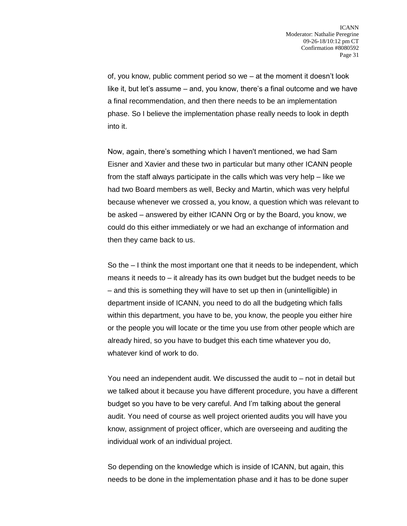of, you know, public comment period so we – at the moment it doesn't look like it, but let's assume – and, you know, there's a final outcome and we have a final recommendation, and then there needs to be an implementation phase. So I believe the implementation phase really needs to look in depth into it.

Now, again, there's something which I haven't mentioned, we had Sam Eisner and Xavier and these two in particular but many other ICANN people from the staff always participate in the calls which was very help – like we had two Board members as well, Becky and Martin, which was very helpful because whenever we crossed a, you know, a question which was relevant to be asked – answered by either ICANN Org or by the Board, you know, we could do this either immediately or we had an exchange of information and then they came back to us.

So the – I think the most important one that it needs to be independent, which means it needs to – it already has its own budget but the budget needs to be – and this is something they will have to set up then in (unintelligible) in department inside of ICANN, you need to do all the budgeting which falls within this department, you have to be, you know, the people you either hire or the people you will locate or the time you use from other people which are already hired, so you have to budget this each time whatever you do, whatever kind of work to do.

You need an independent audit. We discussed the audit to – not in detail but we talked about it because you have different procedure, you have a different budget so you have to be very careful. And I'm talking about the general audit. You need of course as well project oriented audits you will have you know, assignment of project officer, which are overseeing and auditing the individual work of an individual project.

So depending on the knowledge which is inside of ICANN, but again, this needs to be done in the implementation phase and it has to be done super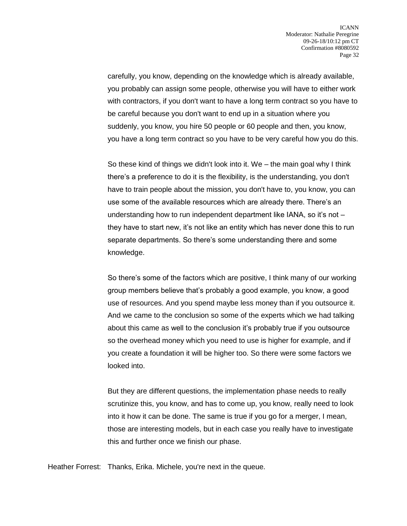carefully, you know, depending on the knowledge which is already available, you probably can assign some people, otherwise you will have to either work with contractors, if you don't want to have a long term contract so you have to be careful because you don't want to end up in a situation where you suddenly, you know, you hire 50 people or 60 people and then, you know, you have a long term contract so you have to be very careful how you do this.

So these kind of things we didn't look into it. We – the main goal why I think there's a preference to do it is the flexibility, is the understanding, you don't have to train people about the mission, you don't have to, you know, you can use some of the available resources which are already there. There's an understanding how to run independent department like IANA, so it's not – they have to start new, it's not like an entity which has never done this to run separate departments. So there's some understanding there and some knowledge.

So there's some of the factors which are positive, I think many of our working group members believe that's probably a good example, you know, a good use of resources. And you spend maybe less money than if you outsource it. And we came to the conclusion so some of the experts which we had talking about this came as well to the conclusion it's probably true if you outsource so the overhead money which you need to use is higher for example, and if you create a foundation it will be higher too. So there were some factors we looked into.

But they are different questions, the implementation phase needs to really scrutinize this, you know, and has to come up, you know, really need to look into it how it can be done. The same is true if you go for a merger, I mean, those are interesting models, but in each case you really have to investigate this and further once we finish our phase.

Heather Forrest: Thanks, Erika. Michele, you're next in the queue.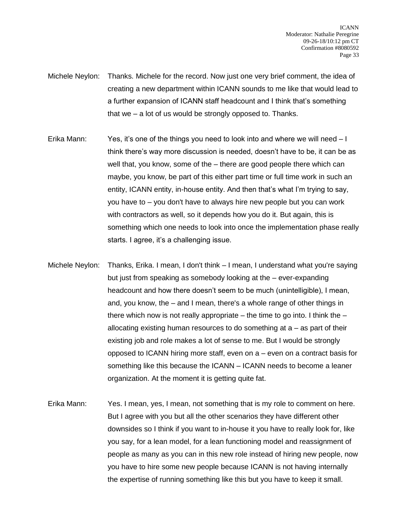- Michele Neylon: Thanks. Michele for the record. Now just one very brief comment, the idea of creating a new department within ICANN sounds to me like that would lead to a further expansion of ICANN staff headcount and I think that's something that we – a lot of us would be strongly opposed to. Thanks.
- Erika Mann: Yes, it's one of the things you need to look into and where we will need I think there's way more discussion is needed, doesn't have to be, it can be as well that, you know, some of the – there are good people there which can maybe, you know, be part of this either part time or full time work in such an entity, ICANN entity, in-house entity. And then that's what I'm trying to say, you have to – you don't have to always hire new people but you can work with contractors as well, so it depends how you do it. But again, this is something which one needs to look into once the implementation phase really starts. I agree, it's a challenging issue.
- Michele Neylon: Thanks, Erika. I mean, I don't think I mean, I understand what you're saying but just from speaking as somebody looking at the – ever-expanding headcount and how there doesn't seem to be much (unintelligible), I mean, and, you know, the – and I mean, there's a whole range of other things in there which now is not really appropriate – the time to go into. I think the  $$ allocating existing human resources to do something at  $a - a s$  part of their existing job and role makes a lot of sense to me. But I would be strongly opposed to ICANN hiring more staff, even on a – even on a contract basis for something like this because the ICANN – ICANN needs to become a leaner organization. At the moment it is getting quite fat.
- Erika Mann: Yes. I mean, yes, I mean, not something that is my role to comment on here. But I agree with you but all the other scenarios they have different other downsides so I think if you want to in-house it you have to really look for, like you say, for a lean model, for a lean functioning model and reassignment of people as many as you can in this new role instead of hiring new people, now you have to hire some new people because ICANN is not having internally the expertise of running something like this but you have to keep it small.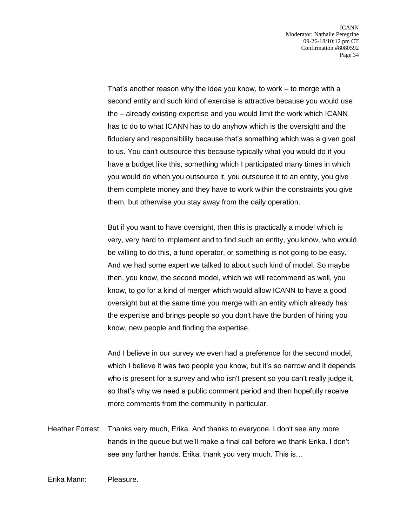That's another reason why the idea you know, to work – to merge with a second entity and such kind of exercise is attractive because you would use the – already existing expertise and you would limit the work which ICANN has to do to what ICANN has to do anyhow which is the oversight and the fiduciary and responsibility because that's something which was a given goal to us. You can't outsource this because typically what you would do if you have a budget like this, something which I participated many times in which you would do when you outsource it, you outsource it to an entity, you give them complete money and they have to work within the constraints you give them, but otherwise you stay away from the daily operation.

But if you want to have oversight, then this is practically a model which is very, very hard to implement and to find such an entity, you know, who would be willing to do this, a fund operator, or something is not going to be easy. And we had some expert we talked to about such kind of model. So maybe then, you know, the second model, which we will recommend as well, you know, to go for a kind of merger which would allow ICANN to have a good oversight but at the same time you merge with an entity which already has the expertise and brings people so you don't have the burden of hiring you know, new people and finding the expertise.

And I believe in our survey we even had a preference for the second model, which I believe it was two people you know, but it's so narrow and it depends who is present for a survey and who isn't present so you can't really judge it, so that's why we need a public comment period and then hopefully receive more comments from the community in particular.

Heather Forrest: Thanks very much, Erika. And thanks to everyone. I don't see any more hands in the queue but we'll make a final call before we thank Erika. I don't see any further hands. Erika, thank you very much. This is…

Erika Mann: Pleasure.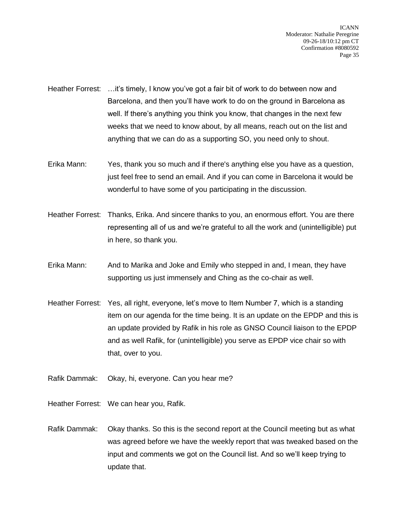- Heather Forrest: …it's timely, I know you've got a fair bit of work to do between now and Barcelona, and then you'll have work to do on the ground in Barcelona as well. If there's anything you think you know, that changes in the next few weeks that we need to know about, by all means, reach out on the list and anything that we can do as a supporting SO, you need only to shout.
- Erika Mann: Yes, thank you so much and if there's anything else you have as a question, just feel free to send an email. And if you can come in Barcelona it would be wonderful to have some of you participating in the discussion.
- Heather Forrest: Thanks, Erika. And sincere thanks to you, an enormous effort. You are there representing all of us and we're grateful to all the work and (unintelligible) put in here, so thank you.
- Erika Mann: And to Marika and Joke and Emily who stepped in and, I mean, they have supporting us just immensely and Ching as the co-chair as well.
- Heather Forrest: Yes, all right, everyone, let's move to Item Number 7, which is a standing item on our agenda for the time being. It is an update on the EPDP and this is an update provided by Rafik in his role as GNSO Council liaison to the EPDP and as well Rafik, for (unintelligible) you serve as EPDP vice chair so with that, over to you.
- Rafik Dammak: Okay, hi, everyone. Can you hear me?
- Heather Forrest: We can hear you, Rafik.
- Rafik Dammak: Okay thanks. So this is the second report at the Council meeting but as what was agreed before we have the weekly report that was tweaked based on the input and comments we got on the Council list. And so we'll keep trying to update that.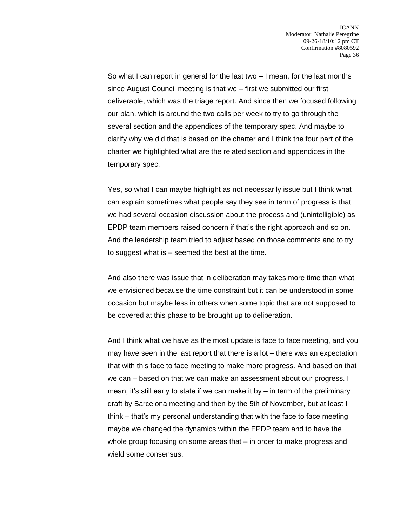So what I can report in general for the last two – I mean, for the last months since August Council meeting is that we – first we submitted our first deliverable, which was the triage report. And since then we focused following our plan, which is around the two calls per week to try to go through the several section and the appendices of the temporary spec. And maybe to clarify why we did that is based on the charter and I think the four part of the charter we highlighted what are the related section and appendices in the temporary spec.

Yes, so what I can maybe highlight as not necessarily issue but I think what can explain sometimes what people say they see in term of progress is that we had several occasion discussion about the process and (unintelligible) as EPDP team members raised concern if that's the right approach and so on. And the leadership team tried to adjust based on those comments and to try to suggest what is – seemed the best at the time.

And also there was issue that in deliberation may takes more time than what we envisioned because the time constraint but it can be understood in some occasion but maybe less in others when some topic that are not supposed to be covered at this phase to be brought up to deliberation.

And I think what we have as the most update is face to face meeting, and you may have seen in the last report that there is a lot – there was an expectation that with this face to face meeting to make more progress. And based on that we can – based on that we can make an assessment about our progress. I mean, it's still early to state if we can make it by – in term of the preliminary draft by Barcelona meeting and then by the 5th of November, but at least I think – that's my personal understanding that with the face to face meeting maybe we changed the dynamics within the EPDP team and to have the whole group focusing on some areas that – in order to make progress and wield some consensus.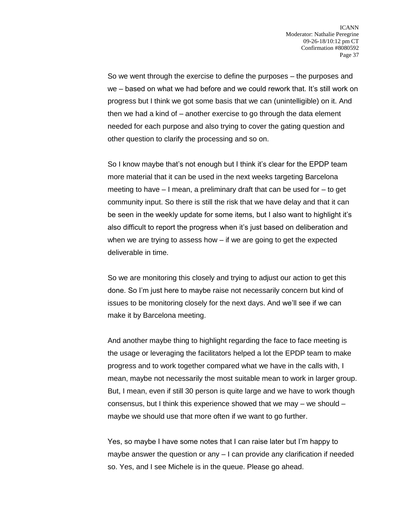So we went through the exercise to define the purposes – the purposes and we – based on what we had before and we could rework that. It's still work on progress but I think we got some basis that we can (unintelligible) on it. And then we had a kind of – another exercise to go through the data element needed for each purpose and also trying to cover the gating question and other question to clarify the processing and so on.

So I know maybe that's not enough but I think it's clear for the EPDP team more material that it can be used in the next weeks targeting Barcelona meeting to have – I mean, a preliminary draft that can be used for – to get community input. So there is still the risk that we have delay and that it can be seen in the weekly update for some items, but I also want to highlight it's also difficult to report the progress when it's just based on deliberation and when we are trying to assess how – if we are going to get the expected deliverable in time.

So we are monitoring this closely and trying to adjust our action to get this done. So I'm just here to maybe raise not necessarily concern but kind of issues to be monitoring closely for the next days. And we'll see if we can make it by Barcelona meeting.

And another maybe thing to highlight regarding the face to face meeting is the usage or leveraging the facilitators helped a lot the EPDP team to make progress and to work together compared what we have in the calls with, I mean, maybe not necessarily the most suitable mean to work in larger group. But, I mean, even if still 30 person is quite large and we have to work though consensus, but I think this experience showed that we may – we should – maybe we should use that more often if we want to go further.

Yes, so maybe I have some notes that I can raise later but I'm happy to maybe answer the question or any – I can provide any clarification if needed so. Yes, and I see Michele is in the queue. Please go ahead.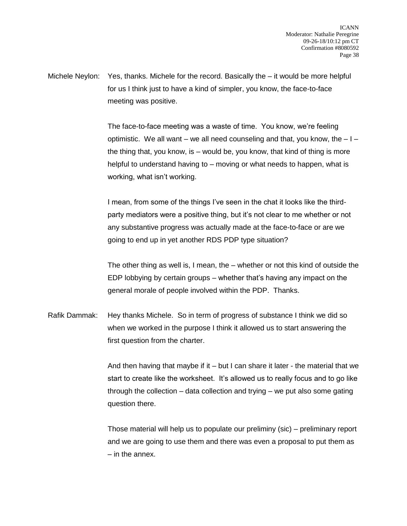Michele Neylon: Yes, thanks. Michele for the record. Basically the – it would be more helpful for us I think just to have a kind of simpler, you know, the face-to-face meeting was positive.

> The face-to-face meeting was a waste of time. You know, we're feeling optimistic. We all want – we all need counseling and that, you know, the  $-1$  – the thing that, you know, is – would be, you know, that kind of thing is more helpful to understand having to – moving or what needs to happen, what is working, what isn't working.

I mean, from some of the things I've seen in the chat it looks like the thirdparty mediators were a positive thing, but it's not clear to me whether or not any substantive progress was actually made at the face-to-face or are we going to end up in yet another RDS PDP type situation?

The other thing as well is, I mean, the – whether or not this kind of outside the EDP lobbying by certain groups – whether that's having any impact on the general morale of people involved within the PDP. Thanks.

Rafik Dammak: Hey thanks Michele. So in term of progress of substance I think we did so when we worked in the purpose I think it allowed us to start answering the first question from the charter.

> And then having that maybe if it – but I can share it later - the material that we start to create like the worksheet. It's allowed us to really focus and to go like through the collection – data collection and trying – we put also some gating question there.

> Those material will help us to populate our preliminy (sic) – preliminary report and we are going to use them and there was even a proposal to put them as – in the annex.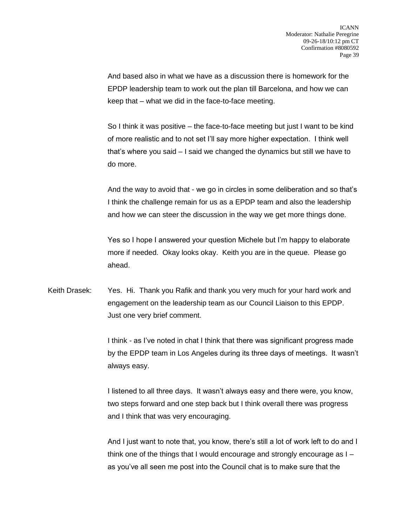And based also in what we have as a discussion there is homework for the EPDP leadership team to work out the plan till Barcelona, and how we can keep that – what we did in the face-to-face meeting.

So I think it was positive – the face-to-face meeting but just I want to be kind of more realistic and to not set I'll say more higher expectation. I think well that's where you said – I said we changed the dynamics but still we have to do more.

And the way to avoid that - we go in circles in some deliberation and so that's I think the challenge remain for us as a EPDP team and also the leadership and how we can steer the discussion in the way we get more things done.

Yes so I hope I answered your question Michele but I'm happy to elaborate more if needed. Okay looks okay. Keith you are in the queue. Please go ahead.

Keith Drasek: Yes. Hi. Thank you Rafik and thank you very much for your hard work and engagement on the leadership team as our Council Liaison to this EPDP. Just one very brief comment.

> I think - as I've noted in chat I think that there was significant progress made by the EPDP team in Los Angeles during its three days of meetings. It wasn't always easy.

I listened to all three days. It wasn't always easy and there were, you know, two steps forward and one step back but I think overall there was progress and I think that was very encouraging.

And I just want to note that, you know, there's still a lot of work left to do and I think one of the things that I would encourage and strongly encourage as I – as you've all seen me post into the Council chat is to make sure that the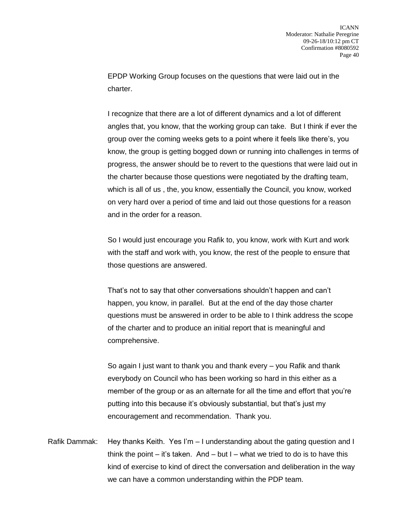EPDP Working Group focuses on the questions that were laid out in the charter.

I recognize that there are a lot of different dynamics and a lot of different angles that, you know, that the working group can take. But I think if ever the group over the coming weeks gets to a point where it feels like there's, you know, the group is getting bogged down or running into challenges in terms of progress, the answer should be to revert to the questions that were laid out in the charter because those questions were negotiated by the drafting team, which is all of us , the, you know, essentially the Council, you know, worked on very hard over a period of time and laid out those questions for a reason and in the order for a reason.

So I would just encourage you Rafik to, you know, work with Kurt and work with the staff and work with, you know, the rest of the people to ensure that those questions are answered.

That's not to say that other conversations shouldn't happen and can't happen, you know, in parallel. But at the end of the day those charter questions must be answered in order to be able to I think address the scope of the charter and to produce an initial report that is meaningful and comprehensive.

So again I just want to thank you and thank every – you Rafik and thank everybody on Council who has been working so hard in this either as a member of the group or as an alternate for all the time and effort that you're putting into this because it's obviously substantial, but that's just my encouragement and recommendation. Thank you.

Rafik Dammak: Hey thanks Keith. Yes I'm – I understanding about the gating question and I think the point – it's taken. And – but  $I$  – what we tried to do is to have this kind of exercise to kind of direct the conversation and deliberation in the way we can have a common understanding within the PDP team.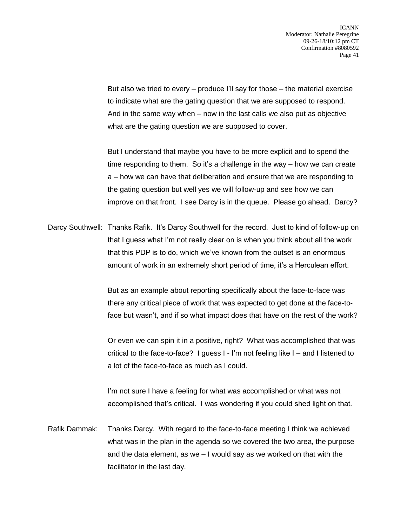But also we tried to every  $-$  produce I'll say for those  $-$  the material exercise to indicate what are the gating question that we are supposed to respond. And in the same way when – now in the last calls we also put as objective what are the gating question we are supposed to cover.

But I understand that maybe you have to be more explicit and to spend the time responding to them. So it's a challenge in the way – how we can create a – how we can have that deliberation and ensure that we are responding to the gating question but well yes we will follow-up and see how we can improve on that front. I see Darcy is in the queue. Please go ahead. Darcy?

Darcy Southwell: Thanks Rafik. It's Darcy Southwell for the record. Just to kind of follow-up on that I guess what I'm not really clear on is when you think about all the work that this PDP is to do, which we've known from the outset is an enormous amount of work in an extremely short period of time, it's a Herculean effort.

> But as an example about reporting specifically about the face-to-face was there any critical piece of work that was expected to get done at the face-toface but wasn't, and if so what impact does that have on the rest of the work?

> Or even we can spin it in a positive, right? What was accomplished that was critical to the face-to-face? I guess I - I'm not feeling like I – and I listened to a lot of the face-to-face as much as I could.

I'm not sure I have a feeling for what was accomplished or what was not accomplished that's critical. I was wondering if you could shed light on that.

Rafik Dammak: Thanks Darcy. With regard to the face-to-face meeting I think we achieved what was in the plan in the agenda so we covered the two area, the purpose and the data element, as we  $-1$  would say as we worked on that with the facilitator in the last day.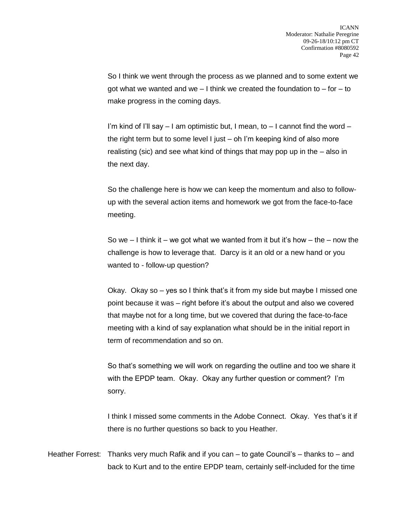So I think we went through the process as we planned and to some extent we got what we wanted and we  $-1$  think we created the foundation to  $-$  for  $-$  to make progress in the coming days.

I'm kind of I'll say  $-1$  am optimistic but, I mean, to  $-1$  cannot find the word  $$ the right term but to some level I just – oh I'm keeping kind of also more realisting (sic) and see what kind of things that may pop up in the – also in the next day.

So the challenge here is how we can keep the momentum and also to followup with the several action items and homework we got from the face-to-face meeting.

So we  $-1$  think it – we got what we wanted from it but it's how – the – now the challenge is how to leverage that. Darcy is it an old or a new hand or you wanted to - follow-up question?

Okay. Okay so – yes so I think that's it from my side but maybe I missed one point because it was – right before it's about the output and also we covered that maybe not for a long time, but we covered that during the face-to-face meeting with a kind of say explanation what should be in the initial report in term of recommendation and so on.

So that's something we will work on regarding the outline and too we share it with the EPDP team. Okay. Okay any further question or comment? I'm sorry.

I think I missed some comments in the Adobe Connect. Okay. Yes that's it if there is no further questions so back to you Heather.

Heather Forrest: Thanks very much Rafik and if you can – to gate Council's – thanks to – and back to Kurt and to the entire EPDP team, certainly self-included for the time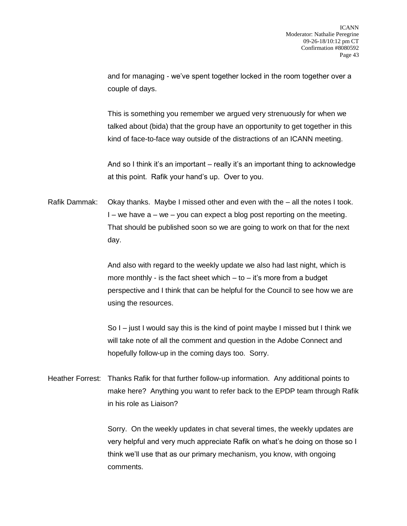and for managing - we've spent together locked in the room together over a couple of days.

This is something you remember we argued very strenuously for when we talked about (bida) that the group have an opportunity to get together in this kind of face-to-face way outside of the distractions of an ICANN meeting.

And so I think it's an important – really it's an important thing to acknowledge at this point. Rafik your hand's up. Over to you.

Rafik Dammak: Okay thanks. Maybe I missed other and even with the – all the notes I took.  $I$  – we have  $a$  – we – you can expect a blog post reporting on the meeting. That should be published soon so we are going to work on that for the next day.

> And also with regard to the weekly update we also had last night, which is more monthly - is the fact sheet which  $-$  to  $-$  it's more from a budget perspective and I think that can be helpful for the Council to see how we are using the resources.

> So I – just I would say this is the kind of point maybe I missed but I think we will take note of all the comment and question in the Adobe Connect and hopefully follow-up in the coming days too. Sorry.

Heather Forrest: Thanks Rafik for that further follow-up information. Any additional points to make here? Anything you want to refer back to the EPDP team through Rafik in his role as Liaison?

> Sorry. On the weekly updates in chat several times, the weekly updates are very helpful and very much appreciate Rafik on what's he doing on those so I think we'll use that as our primary mechanism, you know, with ongoing comments.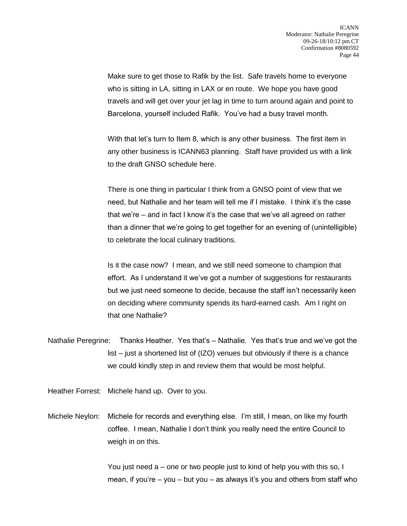Make sure to get those to Rafik by the list. Safe travels home to everyone who is sitting in LA, sitting in LAX or en route. We hope you have good travels and will get over your jet lag in time to turn around again and point to Barcelona, yourself included Rafik. You've had a busy travel month.

With that let's turn to Item 8, which is any other business. The first item in any other business is ICANN63 planning. Staff have provided us with a link to the draft GNSO schedule here.

There is one thing in particular I think from a GNSO point of view that we need, but Nathalie and her team will tell me if I mistake. I think it's the case that we're – and in fact I know it's the case that we've all agreed on rather than a dinner that we're going to get together for an evening of (unintelligible) to celebrate the local culinary traditions.

Is it the case now? I mean, and we still need someone to champion that effort. As I understand it we've got a number of suggestions for restaurants but we just need someone to decide, because the staff isn't necessarily keen on deciding where community spends its hard-earned cash. Am I right on that one Nathalie?

Nathalie Peregrine: Thanks Heather. Yes that's – Nathalie. Yes that's true and we've got the list – just a shortened list of (IZO) venues but obviously if there is a chance we could kindly step in and review them that would be most helpful.

Heather Forrest: Michele hand up. Over to you.

Michele Neylon: Michele for records and everything else. I'm still, I mean, on like my fourth coffee. I mean, Nathalie I don't think you really need the entire Council to weigh in on this.

> You just need a – one or two people just to kind of help you with this so, I mean, if you're – you – but you – as always it's you and others from staff who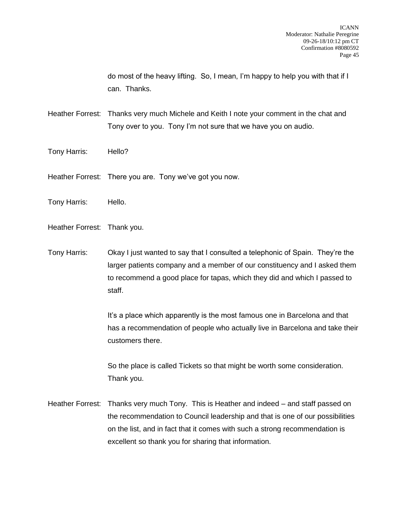do most of the heavy lifting. So, I mean, I'm happy to help you with that if I can. Thanks.

Heather Forrest: Thanks very much Michele and Keith I note your comment in the chat and Tony over to you. Tony I'm not sure that we have you on audio.

- Tony Harris: Hello?
- Heather Forrest: There you are. Tony we've got you now.
- Tony Harris: Hello.
- Heather Forrest: Thank you.
- Tony Harris: Okay I just wanted to say that I consulted a telephonic of Spain. They're the larger patients company and a member of our constituency and I asked them to recommend a good place for tapas, which they did and which I passed to staff.

It's a place which apparently is the most famous one in Barcelona and that has a recommendation of people who actually live in Barcelona and take their customers there.

So the place is called Tickets so that might be worth some consideration. Thank you.

Heather Forrest: Thanks very much Tony. This is Heather and indeed – and staff passed on the recommendation to Council leadership and that is one of our possibilities on the list, and in fact that it comes with such a strong recommendation is excellent so thank you for sharing that information.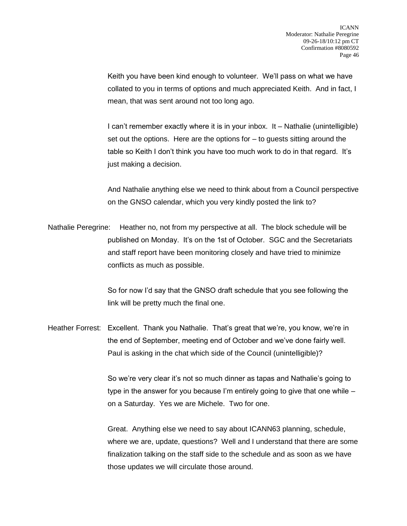Keith you have been kind enough to volunteer. We'll pass on what we have collated to you in terms of options and much appreciated Keith. And in fact, I mean, that was sent around not too long ago.

I can't remember exactly where it is in your inbox. It – Nathalie (unintelligible) set out the options. Here are the options for  $-$  to quests sitting around the table so Keith I don't think you have too much work to do in that regard. It's just making a decision.

And Nathalie anything else we need to think about from a Council perspective on the GNSO calendar, which you very kindly posted the link to?

Nathalie Peregrine: Heather no, not from my perspective at all. The block schedule will be published on Monday. It's on the 1st of October. SGC and the Secretariats and staff report have been monitoring closely and have tried to minimize conflicts as much as possible.

> So for now I'd say that the GNSO draft schedule that you see following the link will be pretty much the final one.

Heather Forrest: Excellent. Thank you Nathalie. That's great that we're, you know, we're in the end of September, meeting end of October and we've done fairly well. Paul is asking in the chat which side of the Council (unintelligible)?

> So we're very clear it's not so much dinner as tapas and Nathalie's going to type in the answer for you because I'm entirely going to give that one while – on a Saturday. Yes we are Michele. Two for one.

Great. Anything else we need to say about ICANN63 planning, schedule, where we are, update, questions? Well and I understand that there are some finalization talking on the staff side to the schedule and as soon as we have those updates we will circulate those around.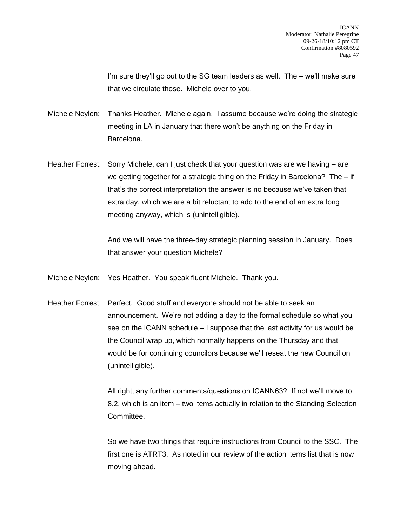I'm sure they'll go out to the SG team leaders as well. The – we'll make sure that we circulate those. Michele over to you.

Michele Neylon: Thanks Heather. Michele again. I assume because we're doing the strategic meeting in LA in January that there won't be anything on the Friday in Barcelona.

Heather Forrest: Sorry Michele, can I just check that your question was are we having – are we getting together for a strategic thing on the Friday in Barcelona? The – if that's the correct interpretation the answer is no because we've taken that extra day, which we are a bit reluctant to add to the end of an extra long meeting anyway, which is (unintelligible).

> And we will have the three-day strategic planning session in January. Does that answer your question Michele?

Michele Neylon: Yes Heather. You speak fluent Michele. Thank you.

Heather Forrest: Perfect. Good stuff and everyone should not be able to seek an announcement. We're not adding a day to the formal schedule so what you see on the ICANN schedule – I suppose that the last activity for us would be the Council wrap up, which normally happens on the Thursday and that would be for continuing councilors because we'll reseat the new Council on (unintelligible).

> All right, any further comments/questions on ICANN63? If not we'll move to 8.2, which is an item – two items actually in relation to the Standing Selection Committee.

> So we have two things that require instructions from Council to the SSC. The first one is ATRT3. As noted in our review of the action items list that is now moving ahead.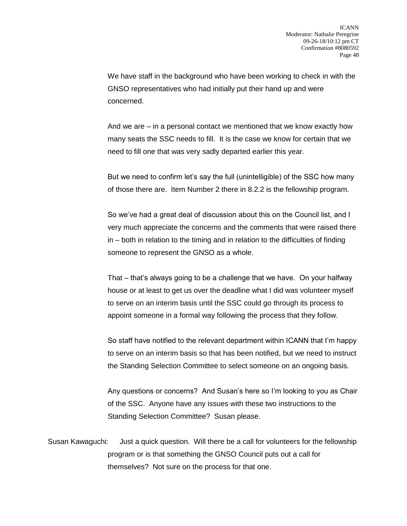We have staff in the background who have been working to check in with the GNSO representatives who had initially put their hand up and were concerned.

And we are – in a personal contact we mentioned that we know exactly how many seats the SSC needs to fill. It is the case we know for certain that we need to fill one that was very sadly departed earlier this year.

But we need to confirm let's say the full (unintelligible) of the SSC how many of those there are. Item Number 2 there in 8.2.2 is the fellowship program.

So we've had a great deal of discussion about this on the Council list, and I very much appreciate the concerns and the comments that were raised there in – both in relation to the timing and in relation to the difficulties of finding someone to represent the GNSO as a whole.

That – that's always going to be a challenge that we have. On your halfway house or at least to get us over the deadline what I did was volunteer myself to serve on an interim basis until the SSC could go through its process to appoint someone in a formal way following the process that they follow.

So staff have notified to the relevant department within ICANN that I'm happy to serve on an interim basis so that has been notified, but we need to instruct the Standing Selection Committee to select someone on an ongoing basis.

Any questions or concerns? And Susan's here so I'm looking to you as Chair of the SSC. Anyone have any issues with these two instructions to the Standing Selection Committee? Susan please.

Susan Kawaguchi: Just a quick question. Will there be a call for volunteers for the fellowship program or is that something the GNSO Council puts out a call for themselves? Not sure on the process for that one.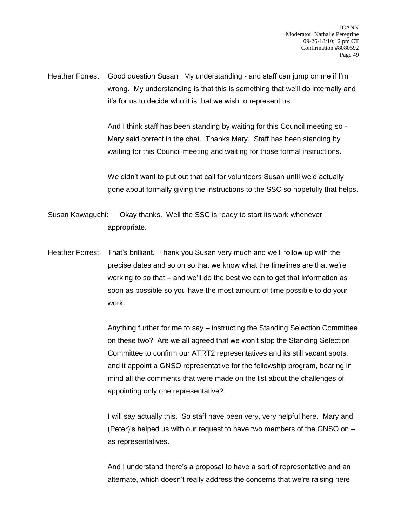Heather Forrest: Good question Susan. My understanding - and staff can jump on me if I'm wrong. My understanding is that this is something that we'll do internally and it's for us to decide who it is that we wish to represent us.

> And I think staff has been standing by waiting for this Council meeting so - Mary said correct in the chat. Thanks Mary. Staff has been standing by waiting for this Council meeting and waiting for those formal instructions.

We didn't want to put out that call for volunteers Susan until we'd actually gone about formally giving the instructions to the SSC so hopefully that helps.

Susan Kawaguchi: Okay thanks. Well the SSC is ready to start its work whenever appropriate.

Heather Forrest: That's brilliant. Thank you Susan very much and we'll follow up with the precise dates and so on so that we know what the timelines are that we're working to so that – and we'll do the best we can to get that information as soon as possible so you have the most amount of time possible to do your work.

> Anything further for me to say – instructing the Standing Selection Committee on these two? Are we all agreed that we won't stop the Standing Selection Committee to confirm our ATRT2 representatives and its still vacant spots, and it appoint a GNSO representative for the fellowship program, bearing in mind all the comments that were made on the list about the challenges of appointing only one representative?

> I will say actually this. So staff have been very, very helpful here. Mary and (Peter)'s helped us with our request to have two members of the GNSO on – as representatives.

And I understand there's a proposal to have a sort of representative and an alternate, which doesn't really address the concerns that we're raising here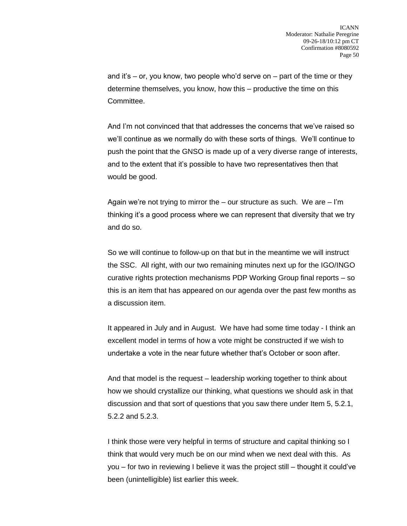and it's  $-$  or, you know, two people who'd serve on  $-$  part of the time or they determine themselves, you know, how this – productive the time on this Committee.

And I'm not convinced that that addresses the concerns that we've raised so we'll continue as we normally do with these sorts of things. We'll continue to push the point that the GNSO is made up of a very diverse range of interests, and to the extent that it's possible to have two representatives then that would be good.

Again we're not trying to mirror the  $-$  our structure as such. We are  $-$  I'm thinking it's a good process where we can represent that diversity that we try and do so.

So we will continue to follow-up on that but in the meantime we will instruct the SSC. All right, with our two remaining minutes next up for the IGO/INGO curative rights protection mechanisms PDP Working Group final reports – so this is an item that has appeared on our agenda over the past few months as a discussion item.

It appeared in July and in August. We have had some time today - I think an excellent model in terms of how a vote might be constructed if we wish to undertake a vote in the near future whether that's October or soon after.

And that model is the request – leadership working together to think about how we should crystallize our thinking, what questions we should ask in that discussion and that sort of questions that you saw there under Item 5, 5.2.1, 5.2.2 and 5.2.3.

I think those were very helpful in terms of structure and capital thinking so I think that would very much be on our mind when we next deal with this. As you – for two in reviewing I believe it was the project still – thought it could've been (unintelligible) list earlier this week.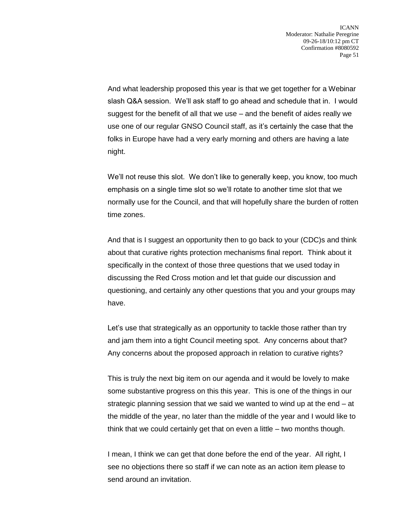And what leadership proposed this year is that we get together for a Webinar slash Q&A session. We'll ask staff to go ahead and schedule that in. I would suggest for the benefit of all that we use – and the benefit of aides really we use one of our regular GNSO Council staff, as it's certainly the case that the folks in Europe have had a very early morning and others are having a late night.

We'll not reuse this slot. We don't like to generally keep, you know, too much emphasis on a single time slot so we'll rotate to another time slot that we normally use for the Council, and that will hopefully share the burden of rotten time zones.

And that is I suggest an opportunity then to go back to your (CDC)s and think about that curative rights protection mechanisms final report. Think about it specifically in the context of those three questions that we used today in discussing the Red Cross motion and let that guide our discussion and questioning, and certainly any other questions that you and your groups may have.

Let's use that strategically as an opportunity to tackle those rather than try and jam them into a tight Council meeting spot. Any concerns about that? Any concerns about the proposed approach in relation to curative rights?

This is truly the next big item on our agenda and it would be lovely to make some substantive progress on this this year. This is one of the things in our strategic planning session that we said we wanted to wind up at the end – at the middle of the year, no later than the middle of the year and I would like to think that we could certainly get that on even a little – two months though.

I mean, I think we can get that done before the end of the year. All right, I see no objections there so staff if we can note as an action item please to send around an invitation.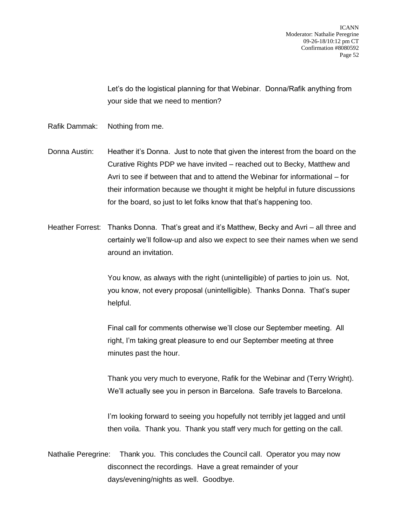Let's do the logistical planning for that Webinar. Donna/Rafik anything from your side that we need to mention?

- Rafik Dammak: Nothing from me.
- Donna Austin: Heather it's Donna. Just to note that given the interest from the board on the Curative Rights PDP we have invited – reached out to Becky, Matthew and Avri to see if between that and to attend the Webinar for informational – for their information because we thought it might be helpful in future discussions for the board, so just to let folks know that that's happening too.
- Heather Forrest: Thanks Donna. That's great and it's Matthew, Becky and Avri all three and certainly we'll follow-up and also we expect to see their names when we send around an invitation.

You know, as always with the right (unintelligible) of parties to join us. Not, you know, not every proposal (unintelligible). Thanks Donna. That's super helpful.

Final call for comments otherwise we'll close our September meeting. All right, I'm taking great pleasure to end our September meeting at three minutes past the hour.

Thank you very much to everyone, Rafik for the Webinar and (Terry Wright). We'll actually see you in person in Barcelona. Safe travels to Barcelona.

I'm looking forward to seeing you hopefully not terribly jet lagged and until then voila. Thank you. Thank you staff very much for getting on the call.

Nathalie Peregrine: Thank you. This concludes the Council call. Operator you may now disconnect the recordings. Have a great remainder of your days/evening/nights as well. Goodbye.